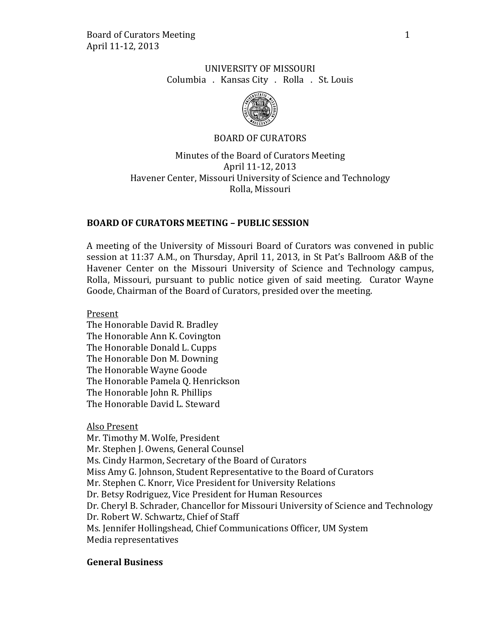# UNIVERSITY OF MISSOURI Columbia . Kansas City . Rolla . St. Louis



# BOARD OF CURATORS

Minutes of the Board of Curators Meeting April 11-12, 2013 Havener Center, Missouri University of Science and Technology Rolla, Missouri

## **BOARD OF CURATORS MEETING – PUBLIC SESSION**

A meeting of the University of Missouri Board of Curators was convened in public session at 11:37 A.M., on Thursday, April 11, 2013, in St Pat's Ballroom A&B of the Havener Center on the Missouri University of Science and Technology campus, Rolla, Missouri, pursuant to public notice given of said meeting. Curator Wayne Goode, Chairman of the Board of Curators, presided over the meeting.

Present The Honorable David R. Bradley

The Honorable Ann K. Covington The Honorable Donald L. Cupps The Honorable Don M. Downing The Honorable Wayne Goode The Honorable Pamela Q. Henrickson The Honorable John R. Phillips The Honorable David L. Steward

Also Present

Mr. Timothy M. Wolfe, President Mr. Stephen J. Owens, General Counsel Ms. Cindy Harmon, Secretary of the Board of Curators Miss Amy G. Johnson, Student Representative to the Board of Curators Mr. Stephen C. Knorr, Vice President for University Relations Dr. Betsy Rodriguez, Vice President for Human Resources Dr. Cheryl B. Schrader, Chancellor for Missouri University of Science and Technology Dr. Robert W. Schwartz, Chief of Staff Ms. Jennifer Hollingshead, Chief Communications Officer, UM System Media representatives

# **General Business**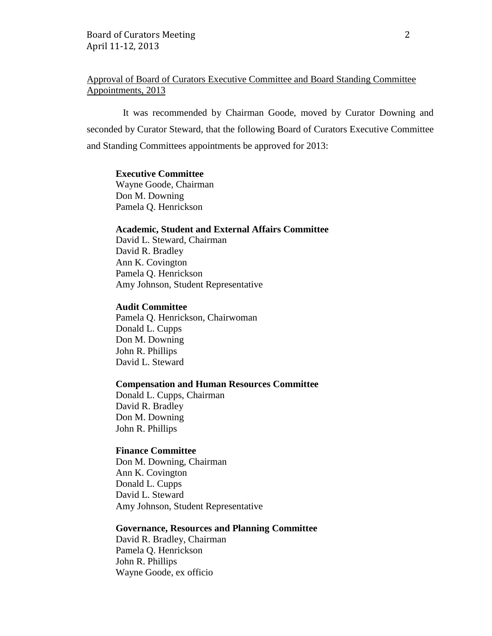# Approval of Board of Curators Executive Committee and Board Standing Committee Appointments, 2013

It was recommended by Chairman Goode, moved by Curator Downing and seconded by Curator Steward, that the following Board of Curators Executive Committee and Standing Committees appointments be approved for 2013:

#### **Executive Committee**

Wayne Goode, Chairman Don M. Downing Pamela Q. Henrickson

## **Academic, Student and External Affairs Committee**

David L. Steward, Chairman David R. Bradley Ann K. Covington Pamela Q. Henrickson Amy Johnson, Student Representative

#### **Audit Committee**

Pamela Q. Henrickson, Chairwoman Donald L. Cupps Don M. Downing John R. Phillips David L. Steward

#### **Compensation and Human Resources Committee**

Donald L. Cupps, Chairman David R. Bradley Don M. Downing John R. Phillips

## **Finance Committee**

Don M. Downing, Chairman Ann K. Covington Donald L. Cupps David L. Steward Amy Johnson, Student Representative

## **Governance, Resources and Planning Committee**

David R. Bradley, Chairman Pamela Q. Henrickson John R. Phillips Wayne Goode, ex officio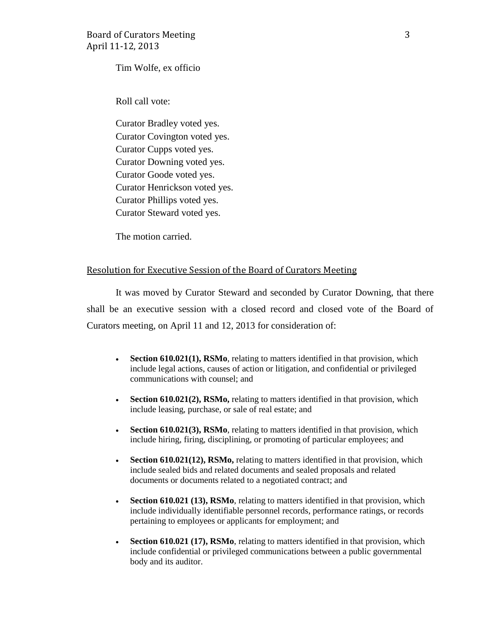Tim Wolfe, ex officio

Roll call vote:

Curator Bradley voted yes. Curator Covington voted yes. Curator Cupps voted yes. Curator Downing voted yes. Curator Goode voted yes. Curator Henrickson voted yes. Curator Phillips voted yes. Curator Steward voted yes.

The motion carried.

## Resolution for Executive Session of the Board of Curators Meeting

It was moved by Curator Steward and seconded by Curator Downing, that there shall be an executive session with a closed record and closed vote of the Board of Curators meeting, on April 11 and 12, 2013 for consideration of:

- **Section 610.021(1), RSMo**, relating to matters identified in that provision, which include legal actions, causes of action or litigation, and confidential or privileged communications with counsel; and
- **Section 610.021(2), RSMo,** relating to matters identified in that provision, which include leasing, purchase, or sale of real estate; and
- **Section 610.021(3), RSMo**, relating to matters identified in that provision, which include hiring, firing, disciplining, or promoting of particular employees; and
- **Section 610.021(12), RSMo,** relating to matters identified in that provision, which include sealed bids and related documents and sealed proposals and related documents or documents related to a negotiated contract; and
- **Section 610.021 (13), RSMo**, relating to matters identified in that provision, which include individually identifiable personnel records, performance ratings, or records pertaining to employees or applicants for employment; and
- **Section 610.021 (17), RSMo**, relating to matters identified in that provision, which include confidential or privileged communications between a public governmental body and its auditor.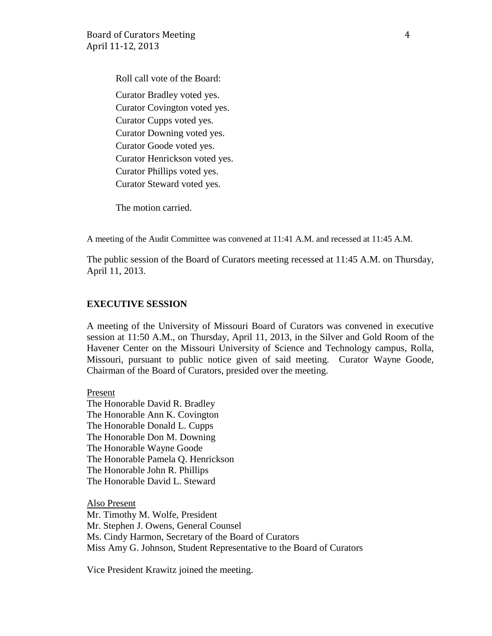Roll call vote of the Board:

Curator Bradley voted yes. Curator Covington voted yes. Curator Cupps voted yes. Curator Downing voted yes. Curator Goode voted yes. Curator Henrickson voted yes. Curator Phillips voted yes. Curator Steward voted yes.

The motion carried.

A meeting of the Audit Committee was convened at 11:41 A.M. and recessed at 11:45 A.M.

The public session of the Board of Curators meeting recessed at 11:45 A.M. on Thursday, April 11, 2013.

# **EXECUTIVE SESSION**

A meeting of the University of Missouri Board of Curators was convened in executive session at 11:50 A.M., on Thursday, April 11, 2013, in the Silver and Gold Room of the Havener Center on the Missouri University of Science and Technology campus, Rolla, Missouri, pursuant to public notice given of said meeting. Curator Wayne Goode, Chairman of the Board of Curators, presided over the meeting.

Present The Honorable David R. Bradley The Honorable Ann K. Covington The Honorable Donald L. Cupps The Honorable Don M. Downing The Honorable Wayne Goode The Honorable Pamela Q. Henrickson The Honorable John R. Phillips The Honorable David L. Steward

Also Present Mr. Timothy M. Wolfe, President Mr. Stephen J. Owens, General Counsel Ms. Cindy Harmon, Secretary of the Board of Curators Miss Amy G. Johnson, Student Representative to the Board of Curators

Vice President Krawitz joined the meeting.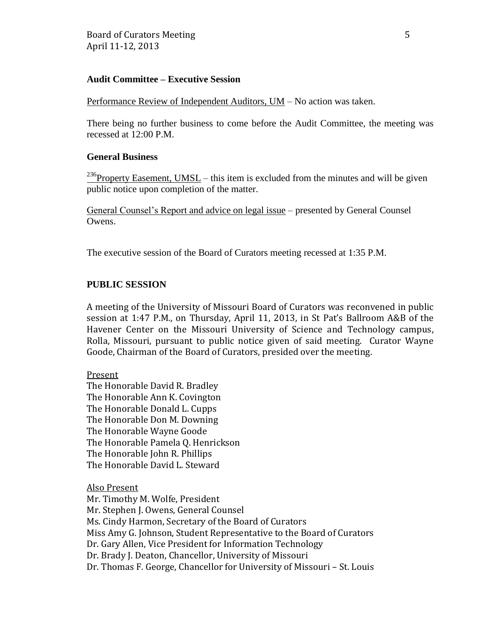## **Audit Committee – Executive Session**

Performance Review of Independent Auditors, UM – No action was taken.

There being no further business to come before the Audit Committee, the meeting was recessed at 12:00 P.M.

## **General Business**

<sup>236</sup>Property Easement, UMSL – this item is excluded from the minutes and will be given public notice upon completion of the matter.

General Counsel's Report and advice on legal issue – presented by General Counsel Owens.

The executive session of the Board of Curators meeting recessed at 1:35 P.M.

## **PUBLIC SESSION**

A meeting of the University of Missouri Board of Curators was reconvened in public session at 1:47 P.M., on Thursday, April 11, 2013, in St Pat's Ballroom A&B of the Havener Center on the Missouri University of Science and Technology campus, Rolla, Missouri, pursuant to public notice given of said meeting. Curator Wayne Goode, Chairman of the Board of Curators, presided over the meeting.

#### Present

The Honorable David R. Bradley The Honorable Ann K. Covington The Honorable Donald L. Cupps The Honorable Don M. Downing The Honorable Wayne Goode The Honorable Pamela Q. Henrickson The Honorable John R. Phillips The Honorable David L. Steward

Also Present Mr. Timothy M. Wolfe, President Mr. Stephen J. Owens, General Counsel Ms. Cindy Harmon, Secretary of the Board of Curators Miss Amy G. Johnson, Student Representative to the Board of Curators Dr. Gary Allen, Vice President for Information Technology Dr. Brady J. Deaton, Chancellor, University of Missouri Dr. Thomas F. George, Chancellor for University of Missouri – St. Louis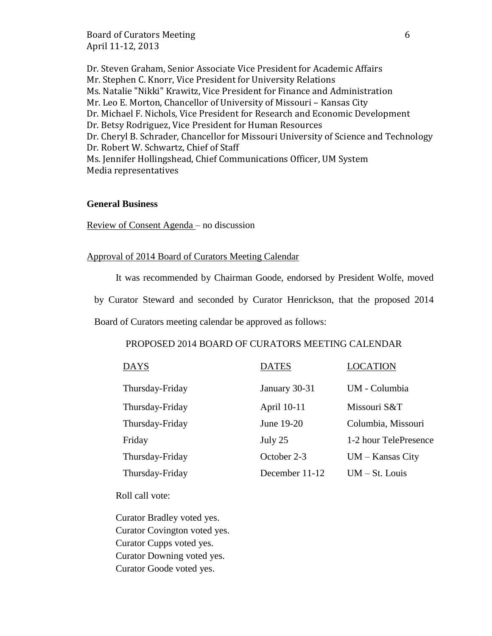Board of Curators Meeting 6 April 11-12, 2013

Dr. Steven Graham, Senior Associate Vice President for Academic Affairs Mr. Stephen C. Knorr, Vice President for University Relations Ms. Natalie "Nikki" Krawitz, Vice President for Finance and Administration Mr. Leo E. Morton, Chancellor of University of Missouri – Kansas City Dr. Michael F. Nichols, Vice President for Research and Economic Development Dr. Betsy Rodriguez, Vice President for Human Resources Dr. Cheryl B. Schrader, Chancellor for Missouri University of Science and Technology Dr. Robert W. Schwartz, Chief of Staff Ms. Jennifer Hollingshead, Chief Communications Officer, UM System Media representatives

#### **General Business**

Review of Consent Agenda – no discussion

#### Approval of 2014 Board of Curators Meeting Calendar

It was recommended by Chairman Goode, endorsed by President Wolfe, moved

by Curator Steward and seconded by Curator Henrickson, that the proposed 2014

Board of Curators meeting calendar be approved as follows:

## PROPOSED 2014 BOARD OF CURATORS MEETING CALENDAR

| <b>DAYS</b>     | <b>DATES</b>   | <b>LOCATION</b>       |
|-----------------|----------------|-----------------------|
| Thursday-Friday | January 30-31  | UM - Columbia         |
| Thursday-Friday | April 10-11    | Missouri S&T          |
| Thursday-Friday | June 19-20     | Columbia, Missouri    |
| Friday          | July 25        | 1-2 hour TelePresence |
| Thursday-Friday | October 2-3    | $UM - Kansas City$    |
| Thursday-Friday | December 11-12 | $UM - St. Louis$      |

Roll call vote:

Curator Bradley voted yes. Curator Covington voted yes. Curator Cupps voted yes. Curator Downing voted yes. Curator Goode voted yes.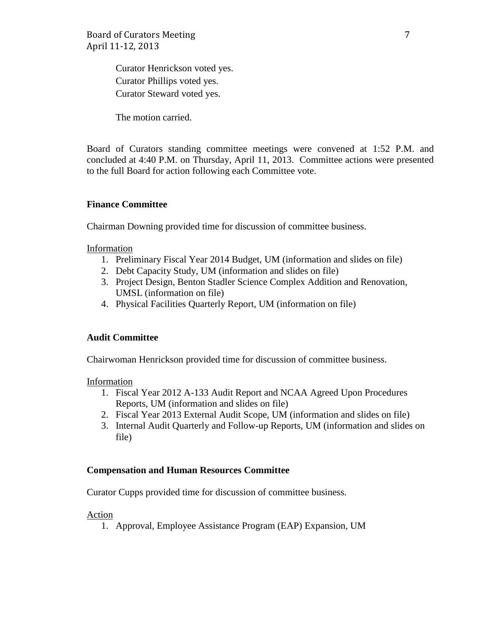Curator Henrickson voted yes. Curator Phillips voted yes. Curator Steward voted yes.

The motion carried.

Board of Curators standing committee meetings were convened at 1:52 P.M. and concluded at 4:40 P.M. on Thursday, April 11, 2013. Committee actions were presented to the full Board for action following each Committee vote.

## **Finance Committee**

Chairman Downing provided time for discussion of committee business.

Information

- 1. Preliminary Fiscal Year 2014 Budget, UM (information and slides on file)
- 2. Debt Capacity Study, UM (information and slides on file)
- 3. Project Design, Benton Stadler Science Complex Addition and Renovation, UMSL (information on file)
- 4. Physical Facilities Quarterly Report, UM (information on file)

#### **Audit Committee**

Chairwoman Henrickson provided time for discussion of committee business.

Information

- 1. Fiscal Year 2012 A-133 Audit Report and NCAA Agreed Upon Procedures Reports, UM (information and slides on file)
- 2. Fiscal Year 2013 External Audit Scope, UM (information and slides on file)
- 3. Internal Audit Quarterly and Follow-up Reports, UM (information and slides on file)

#### **Compensation and Human Resources Committee**

Curator Cupps provided time for discussion of committee business.

Action

1. Approval, Employee Assistance Program (EAP) Expansion, UM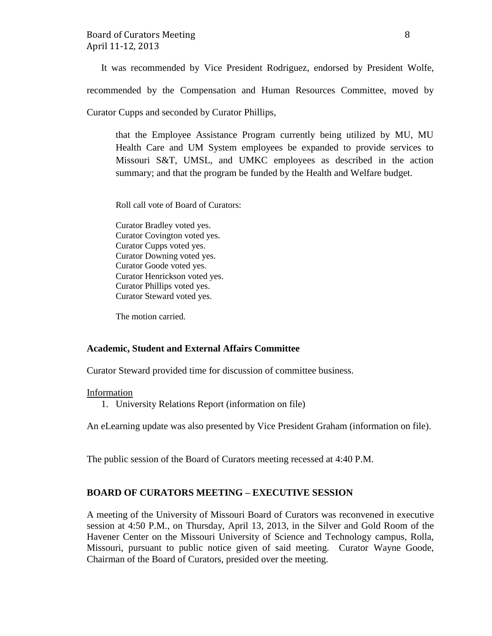It was recommended by Vice President Rodriguez, endorsed by President Wolfe,

recommended by the Compensation and Human Resources Committee, moved by

Curator Cupps and seconded by Curator Phillips,

that the Employee Assistance Program currently being utilized by MU, MU Health Care and UM System employees be expanded to provide services to Missouri S&T, UMSL, and UMKC employees as described in the action summary; and that the program be funded by the Health and Welfare budget.

Roll call vote of Board of Curators:

Curator Bradley voted yes. Curator Covington voted yes. Curator Cupps voted yes. Curator Downing voted yes. Curator Goode voted yes. Curator Henrickson voted yes. Curator Phillips voted yes. Curator Steward voted yes.

The motion carried.

## **Academic, Student and External Affairs Committee**

Curator Steward provided time for discussion of committee business.

#### **Information**

1. University Relations Report (information on file)

An eLearning update was also presented by Vice President Graham (information on file).

The public session of the Board of Curators meeting recessed at 4:40 P.M.

# **BOARD OF CURATORS MEETING – EXECUTIVE SESSION**

A meeting of the University of Missouri Board of Curators was reconvened in executive session at 4:50 P.M., on Thursday, April 13, 2013, in the Silver and Gold Room of the Havener Center on the Missouri University of Science and Technology campus, Rolla, Missouri, pursuant to public notice given of said meeting. Curator Wayne Goode, Chairman of the Board of Curators, presided over the meeting.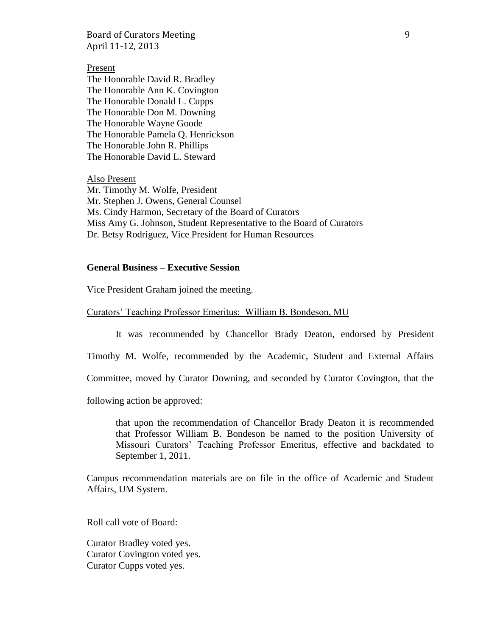Board of Curators Meeting 9 April 11-12, 2013

#### Present

The Honorable David R. Bradley The Honorable Ann K. Covington The Honorable Donald L. Cupps The Honorable Don M. Downing The Honorable Wayne Goode The Honorable Pamela Q. Henrickson The Honorable John R. Phillips The Honorable David L. Steward

Also Present Mr. Timothy M. Wolfe, President Mr. Stephen J. Owens, General Counsel Ms. Cindy Harmon, Secretary of the Board of Curators Miss Amy G. Johnson, Student Representative to the Board of Curators Dr. Betsy Rodriguez, Vice President for Human Resources

#### **General Business – Executive Session**

Vice President Graham joined the meeting.

Curators' Teaching Professor Emeritus: William B. Bondeson, MU

It was recommended by Chancellor Brady Deaton, endorsed by President

Timothy M. Wolfe, recommended by the Academic, Student and External Affairs

Committee, moved by Curator Downing, and seconded by Curator Covington, that the

following action be approved:

that upon the recommendation of Chancellor Brady Deaton it is recommended that Professor William B. Bondeson be named to the position University of Missouri Curators' Teaching Professor Emeritus, effective and backdated to September 1, 2011.

Campus recommendation materials are on file in the office of Academic and Student Affairs, UM System.

Roll call vote of Board:

Curator Bradley voted yes. Curator Covington voted yes. Curator Cupps voted yes.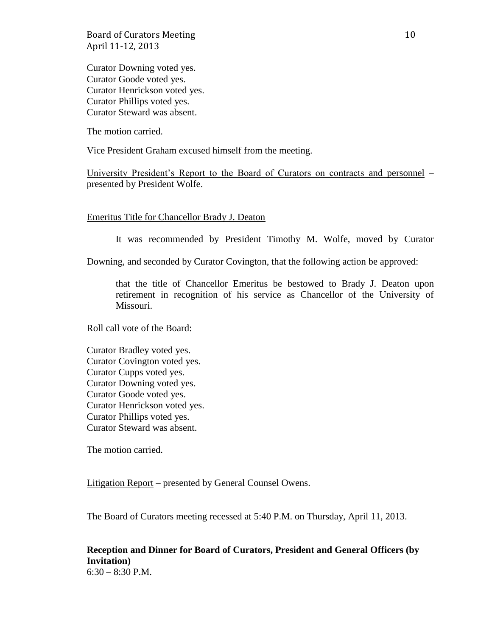Board of Curators Meeting 10 April 11-12, 2013

Curator Downing voted yes. Curator Goode voted yes. Curator Henrickson voted yes. Curator Phillips voted yes. Curator Steward was absent.

The motion carried.

Vice President Graham excused himself from the meeting.

University President's Report to the Board of Curators on contracts and personnel – presented by President Wolfe.

#### Emeritus Title for Chancellor Brady J. Deaton

It was recommended by President Timothy M. Wolfe, moved by Curator

Downing, and seconded by Curator Covington, that the following action be approved:

that the title of Chancellor Emeritus be bestowed to Brady J. Deaton upon retirement in recognition of his service as Chancellor of the University of Missouri.

Roll call vote of the Board:

Curator Bradley voted yes. Curator Covington voted yes. Curator Cupps voted yes. Curator Downing voted yes. Curator Goode voted yes. Curator Henrickson voted yes. Curator Phillips voted yes. Curator Steward was absent.

The motion carried.

Litigation Report – presented by General Counsel Owens.

The Board of Curators meeting recessed at 5:40 P.M. on Thursday, April 11, 2013.

#### **Reception and Dinner for Board of Curators, President and General Officers (by Invitation)**  $6:30 - 8:30$  P.M.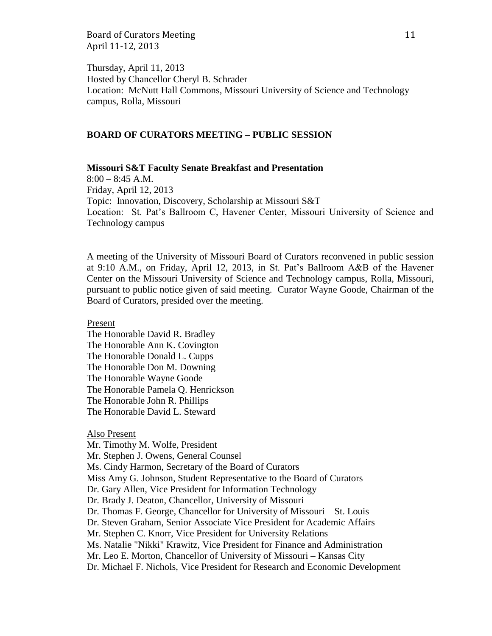Board of Curators Meeting 11 April 11-12, 2013

Thursday, April 11, 2013 Hosted by Chancellor Cheryl B. Schrader Location: McNutt Hall Commons, Missouri University of Science and Technology campus, Rolla, Missouri

## **BOARD OF CURATORS MEETING – PUBLIC SESSION**

#### **Missouri S&T Faculty Senate Breakfast and Presentation**

 $8:00 - 8:45$  A.M. Friday, April 12, 2013 Topic: Innovation, Discovery, Scholarship at Missouri S&T Location: St. Pat's Ballroom C, Havener Center, Missouri University of Science and Technology campus

A meeting of the University of Missouri Board of Curators reconvened in public session at 9:10 A.M., on Friday, April 12, 2013, in St. Pat's Ballroom A&B of the Havener Center on the Missouri University of Science and Technology campus, Rolla, Missouri, pursuant to public notice given of said meeting. Curator Wayne Goode, Chairman of the Board of Curators, presided over the meeting.

Present

The Honorable David R. Bradley The Honorable Ann K. Covington The Honorable Donald L. Cupps The Honorable Don M. Downing The Honorable Wayne Goode The Honorable Pamela Q. Henrickson The Honorable John R. Phillips The Honorable David L. Steward

#### Also Present

Mr. Timothy M. Wolfe, President Mr. Stephen J. Owens, General Counsel Ms. Cindy Harmon, Secretary of the Board of Curators Miss Amy G. Johnson, Student Representative to the Board of Curators Dr. Gary Allen, Vice President for Information Technology Dr. Brady J. Deaton, Chancellor, University of Missouri Dr. Thomas F. George, Chancellor for University of Missouri – St. Louis Dr. Steven Graham, Senior Associate Vice President for Academic Affairs Mr. Stephen C. Knorr, Vice President for University Relations Ms. Natalie "Nikki" Krawitz, Vice President for Finance and Administration Mr. Leo E. Morton, Chancellor of University of Missouri – Kansas City Dr. Michael F. Nichols, Vice President for Research and Economic Development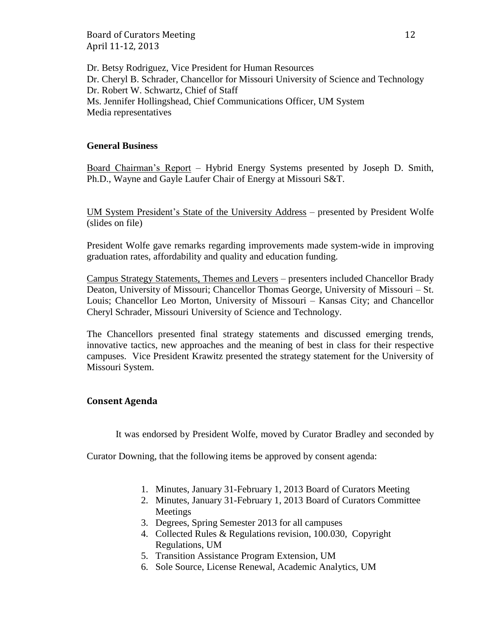Board of Curators Meeting 12 April 11-12, 2013

Dr. Betsy Rodriguez, Vice President for Human Resources Dr. Cheryl B. Schrader, Chancellor for Missouri University of Science and Technology Dr. Robert W. Schwartz, Chief of Staff Ms. Jennifer Hollingshead, Chief Communications Officer, UM System Media representatives

## **General Business**

Board Chairman's Report – Hybrid Energy Systems presented by Joseph D. Smith, Ph.D., Wayne and Gayle Laufer Chair of Energy at Missouri S&T.

UM System President's State of the University Address – presented by President Wolfe (slides on file)

President Wolfe gave remarks regarding improvements made system-wide in improving graduation rates, affordability and quality and education funding.

Campus Strategy Statements, Themes and Levers – presenters included Chancellor Brady Deaton, University of Missouri; Chancellor Thomas George, University of Missouri – St. Louis; Chancellor Leo Morton, University of Missouri – Kansas City; and Chancellor Cheryl Schrader, Missouri University of Science and Technology.

The Chancellors presented final strategy statements and discussed emerging trends, innovative tactics, new approaches and the meaning of best in class for their respective campuses. Vice President Krawitz presented the strategy statement for the University of Missouri System.

#### **Consent Agenda**

It was endorsed by President Wolfe, moved by Curator Bradley and seconded by

Curator Downing, that the following items be approved by consent agenda:

- 1. Minutes, January 31-February 1, 2013 Board of Curators Meeting
- 2. Minutes, January 31-February 1, 2013 Board of Curators Committee Meetings
- 3. Degrees, Spring Semester 2013 for all campuses
- 4. Collected Rules & Regulations revision, 100.030, Copyright Regulations, UM
- 5. Transition Assistance Program Extension, UM
- 6. Sole Source, License Renewal, Academic Analytics, UM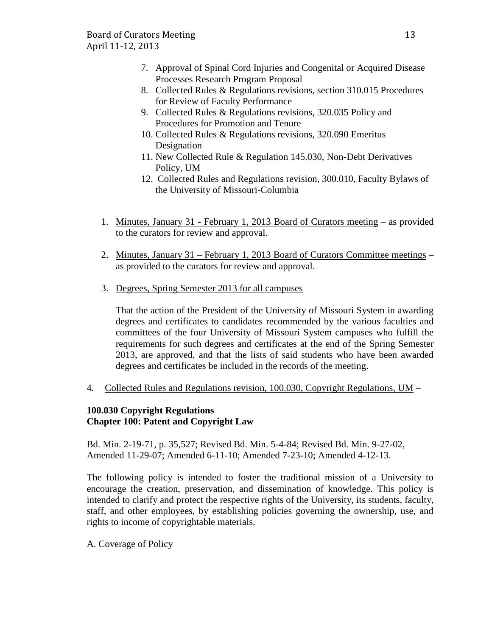- 7. Approval of Spinal Cord Injuries and Congenital or Acquired Disease Processes Research Program Proposal
- 8. Collected Rules & Regulations revisions, section 310.015 Procedures for Review of Faculty Performance
- 9. Collected Rules & Regulations revisions, 320.035 Policy and Procedures for Promotion and Tenure
- 10. Collected Rules & Regulations revisions, 320.090 Emeritus Designation
- 11. New Collected Rule & Regulation 145.030, Non-Debt Derivatives Policy, UM
- 12. Collected Rules and Regulations revision, 300.010, Faculty Bylaws of the University of Missouri-Columbia
- 1. Minutes, January 31 February 1, 2013 Board of Curators meeting as provided to the curators for review and approval.
- 2. Minutes, January 31 February 1, 2013 Board of Curators Committee meetings as provided to the curators for review and approval.
- 3. Degrees, Spring Semester 2013 for all campuses –

That the action of the President of the University of Missouri System in awarding degrees and certificates to candidates recommended by the various faculties and committees of the four University of Missouri System campuses who fulfill the requirements for such degrees and certificates at the end of the Spring Semester 2013, are approved, and that the lists of said students who have been awarded degrees and certificates be included in the records of the meeting.

4. Collected Rules and Regulations revision, 100.030, Copyright Regulations, UM –

# **100.030 Copyright Regulations Chapter 100: Patent and Copyright Law**

Bd. Min. 2-19-71, p. 35,527; Revised Bd. Min. 5-4-84; Revised Bd. Min. 9-27-02, Amended 11-29-07; Amended 6-11-10; Amended 7-23-10; Amended 4-12-13.

The following policy is intended to foster the traditional mission of a University to encourage the creation, preservation, and dissemination of knowledge. This policy is intended to clarify and protect the respective rights of the University, its students, faculty, staff, and other employees, by establishing policies governing the ownership, use, and rights to income of copyrightable materials.

A. Coverage of Policy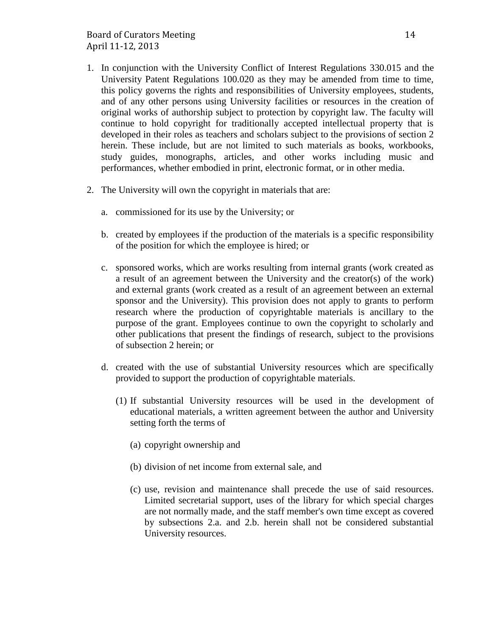- 1. In conjunction with the University Conflict of Interest Regulations 330.015 and the University Patent Regulations 100.020 as they may be amended from time to time, this policy governs the rights and responsibilities of University employees, students, and of any other persons using University facilities or resources in the creation of original works of authorship subject to protection by copyright law. The faculty will continue to hold copyright for traditionally accepted intellectual property that is developed in their roles as teachers and scholars subject to the provisions of section 2 herein. These include, but are not limited to such materials as books, workbooks, study guides, monographs, articles, and other works including music and performances, whether embodied in print, electronic format, or in other media.
- 2. The University will own the copyright in materials that are:
	- a. commissioned for its use by the University; or
	- b. created by employees if the production of the materials is a specific responsibility of the position for which the employee is hired; or
	- c. sponsored works, which are works resulting from internal grants (work created as a result of an agreement between the University and the creator(s) of the work) and external grants (work created as a result of an agreement between an external sponsor and the University). This provision does not apply to grants to perform research where the production of copyrightable materials is ancillary to the purpose of the grant. Employees continue to own the copyright to scholarly and other publications that present the findings of research, subject to the provisions of subsection 2 herein; or
	- d. created with the use of substantial University resources which are specifically provided to support the production of copyrightable materials.
		- (1) If substantial University resources will be used in the development of educational materials, a written agreement between the author and University setting forth the terms of
			- (a) copyright ownership and
			- (b) division of net income from external sale, and
			- (c) use, revision and maintenance shall precede the use of said resources. Limited secretarial support, uses of the library for which special charges are not normally made, and the staff member's own time except as covered by subsections 2.a. and 2.b. herein shall not be considered substantial University resources.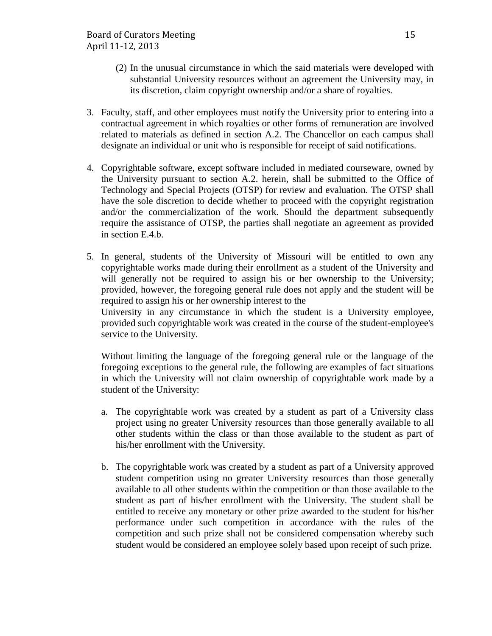- (2) In the unusual circumstance in which the said materials were developed with substantial University resources without an agreement the University may, in its discretion, claim copyright ownership and/or a share of royalties.
- 3. Faculty, staff, and other employees must notify the University prior to entering into a contractual agreement in which royalties or other forms of remuneration are involved related to materials as defined in section A.2. The Chancellor on each campus shall designate an individual or unit who is responsible for receipt of said notifications.
- 4. Copyrightable software, except software included in mediated courseware, owned by the University pursuant to section A.2. herein, shall be submitted to the Office of Technology and Special Projects (OTSP) for review and evaluation. The OTSP shall have the sole discretion to decide whether to proceed with the copyright registration and/or the commercialization of the work. Should the department subsequently require the assistance of OTSP, the parties shall negotiate an agreement as provided in section E.4.b.
- 5. In general, students of the University of Missouri will be entitled to own any copyrightable works made during their enrollment as a student of the University and will generally not be required to assign his or her ownership to the University; provided, however, the foregoing general rule does not apply and the student will be required to assign his or her ownership interest to the

University in any circumstance in which the student is a University employee, provided such copyrightable work was created in the course of the student-employee's service to the University.

Without limiting the language of the foregoing general rule or the language of the foregoing exceptions to the general rule, the following are examples of fact situations in which the University will not claim ownership of copyrightable work made by a student of the University:

- a. The copyrightable work was created by a student as part of a University class project using no greater University resources than those generally available to all other students within the class or than those available to the student as part of his/her enrollment with the University.
- b. The copyrightable work was created by a student as part of a University approved student competition using no greater University resources than those generally available to all other students within the competition or than those available to the student as part of his/her enrollment with the University. The student shall be entitled to receive any monetary or other prize awarded to the student for his/her performance under such competition in accordance with the rules of the competition and such prize shall not be considered compensation whereby such student would be considered an employee solely based upon receipt of such prize.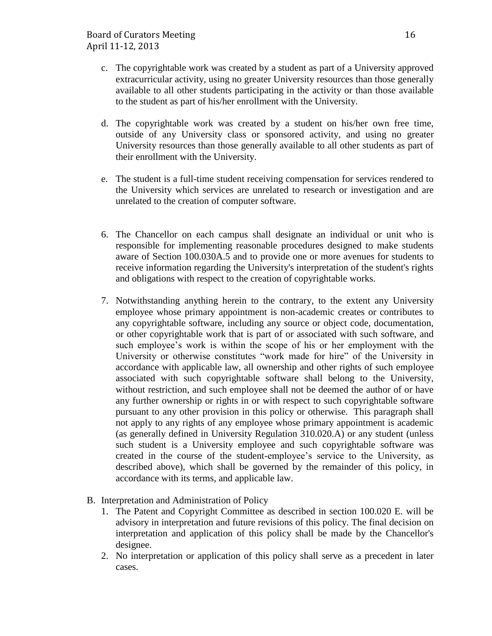- c. The copyrightable work was created by a student as part of a University approved extracurricular activity, using no greater University resources than those generally available to all other students participating in the activity or than those available to the student as part of his/her enrollment with the University.
- d. The copyrightable work was created by a student on his/her own free time, outside of any University class or sponsored activity, and using no greater University resources than those generally available to all other students as part of their enrollment with the University.
- e. The student is a full-time student receiving compensation for services rendered to the University which services are unrelated to research or investigation and are unrelated to the creation of computer software.
- 6. The Chancellor on each campus shall designate an individual or unit who is responsible for implementing reasonable procedures designed to make students aware of Section 100.030A.5 and to provide one or more avenues for students to receive information regarding the University's interpretation of the student's rights and obligations with respect to the creation of copyrightable works.
- 7. Notwithstanding anything herein to the contrary, to the extent any University employee whose primary appointment is non-academic creates or contributes to any copyrightable software, including any source or object code, documentation, or other copyrightable work that is part of or associated with such software, and such employee's work is within the scope of his or her employment with the University or otherwise constitutes "work made for hire" of the University in accordance with applicable law, all ownership and other rights of such employee associated with such copyrightable software shall belong to the University, without restriction, and such employee shall not be deemed the author of or have any further ownership or rights in or with respect to such copyrightable software pursuant to any other provision in this policy or otherwise. This paragraph shall not apply to any rights of any employee whose primary appointment is academic (as generally defined in University Regulation 310.020.A) or any student (unless such student is a University employee and such copyrightable software was created in the course of the student-employee's service to the University, as described above), which shall be governed by the remainder of this policy, in accordance with its terms, and applicable law.
- B. Interpretation and Administration of Policy
	- 1. The Patent and Copyright Committee as described in section 100.020 E. will be advisory in interpretation and future revisions of this policy. The final decision on interpretation and application of this policy shall be made by the Chancellor's designee.
	- 2. No interpretation or application of this policy shall serve as a precedent in later cases.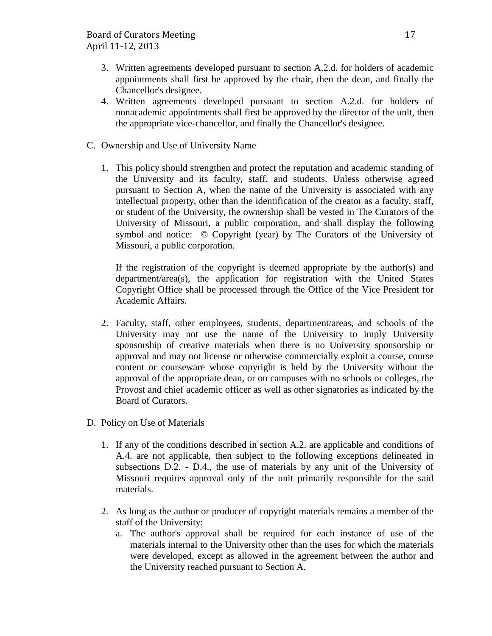- 3. Written agreements developed pursuant to section A.2.d. for holders of academic appointments shall first be approved by the chair, then the dean, and finally the Chancellor's designee.
- 4. Written agreements developed pursuant to section A.2.d. for holders of nonacademic appointments shall first be approved by the director of the unit, then the appropriate vice-chancellor, and finally the Chancellor's designee.
- C. Ownership and Use of University Name
	- 1. This policy should strengthen and protect the reputation and academic standing of the University and its faculty, staff, and students. Unless otherwise agreed pursuant to Section A, when the name of the University is associated with any intellectual property, other than the identification of the creator as a faculty, staff, or student of the University, the ownership shall be vested in The Curators of the University of Missouri, a public corporation, and shall display the following symbol and notice: © Copyright (year) by The Curators of the University of Missouri, a public corporation.

If the registration of the copyright is deemed appropriate by the author(s) and department/area(s), the application for registration with the United States Copyright Office shall be processed through the Office of the Vice President for Academic Affairs.

- 2. Faculty, staff, other employees, students, department/areas, and schools of the University may not use the name of the University to imply University sponsorship of creative materials when there is no University sponsorship or approval and may not license or otherwise commercially exploit a course, course content or courseware whose copyright is held by the University without the approval of the appropriate dean, or on campuses with no schools or colleges, the Provost and chief academic officer as well as other signatories as indicated by the Board of Curators.
- D. Policy on Use of Materials
	- 1. If any of the conditions described in section A.2. are applicable and conditions of A.4. are not applicable, then subject to the following exceptions delineated in subsections D.2. - D.4., the use of materials by any unit of the University of Missouri requires approval only of the unit primarily responsible for the said materials.
	- 2. As long as the author or producer of copyright materials remains a member of the staff of the University:
		- a. The author's approval shall be required for each instance of use of the materials internal to the University other than the uses for which the materials were developed, except as allowed in the agreement between the author and the University reached pursuant to Section A.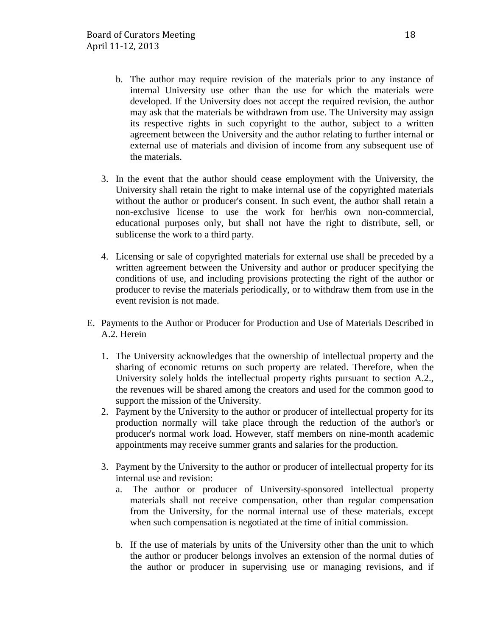- b. The author may require revision of the materials prior to any instance of internal University use other than the use for which the materials were developed. If the University does not accept the required revision, the author may ask that the materials be withdrawn from use. The University may assign its respective rights in such copyright to the author, subject to a written agreement between the University and the author relating to further internal or external use of materials and division of income from any subsequent use of the materials.
- 3. In the event that the author should cease employment with the University, the University shall retain the right to make internal use of the copyrighted materials without the author or producer's consent. In such event, the author shall retain a non-exclusive license to use the work for her/his own non-commercial, educational purposes only, but shall not have the right to distribute, sell, or sublicense the work to a third party.
- 4. Licensing or sale of copyrighted materials for external use shall be preceded by a written agreement between the University and author or producer specifying the conditions of use, and including provisions protecting the right of the author or producer to revise the materials periodically, or to withdraw them from use in the event revision is not made.
- E. Payments to the Author or Producer for Production and Use of Materials Described in A.2. Herein
	- 1. The University acknowledges that the ownership of intellectual property and the sharing of economic returns on such property are related. Therefore, when the University solely holds the intellectual property rights pursuant to section A.2., the revenues will be shared among the creators and used for the common good to support the mission of the University.
	- 2. Payment by the University to the author or producer of intellectual property for its production normally will take place through the reduction of the author's or producer's normal work load. However, staff members on nine-month academic appointments may receive summer grants and salaries for the production.
	- 3. Payment by the University to the author or producer of intellectual property for its internal use and revision:
		- a. The author or producer of University-sponsored intellectual property materials shall not receive compensation, other than regular compensation from the University, for the normal internal use of these materials, except when such compensation is negotiated at the time of initial commission.
		- b. If the use of materials by units of the University other than the unit to which the author or producer belongs involves an extension of the normal duties of the author or producer in supervising use or managing revisions, and if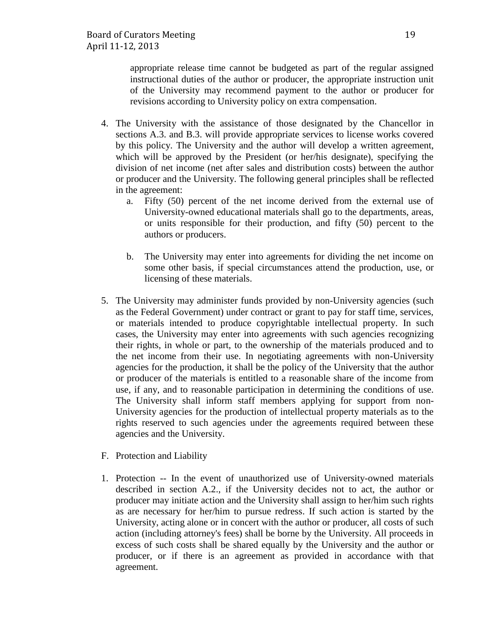appropriate release time cannot be budgeted as part of the regular assigned instructional duties of the author or producer, the appropriate instruction unit of the University may recommend payment to the author or producer for revisions according to University policy on extra compensation.

- 4. The University with the assistance of those designated by the Chancellor in sections A.3. and B.3. will provide appropriate services to license works covered by this policy. The University and the author will develop a written agreement, which will be approved by the President (or her/his designate), specifying the division of net income (net after sales and distribution costs) between the author or producer and the University. The following general principles shall be reflected in the agreement:
	- a. Fifty (50) percent of the net income derived from the external use of University-owned educational materials shall go to the departments, areas, or units responsible for their production, and fifty (50) percent to the authors or producers.
	- b. The University may enter into agreements for dividing the net income on some other basis, if special circumstances attend the production, use, or licensing of these materials.
- 5. The University may administer funds provided by non-University agencies (such as the Federal Government) under contract or grant to pay for staff time, services, or materials intended to produce copyrightable intellectual property. In such cases, the University may enter into agreements with such agencies recognizing their rights, in whole or part, to the ownership of the materials produced and to the net income from their use. In negotiating agreements with non-University agencies for the production, it shall be the policy of the University that the author or producer of the materials is entitled to a reasonable share of the income from use, if any, and to reasonable participation in determining the conditions of use. The University shall inform staff members applying for support from non-University agencies for the production of intellectual property materials as to the rights reserved to such agencies under the agreements required between these agencies and the University.
- F. Protection and Liability
- 1. Protection -- In the event of unauthorized use of University-owned materials described in section A.2., if the University decides not to act, the author or producer may initiate action and the University shall assign to her/him such rights as are necessary for her/him to pursue redress. If such action is started by the University, acting alone or in concert with the author or producer, all costs of such action (including attorney's fees) shall be borne by the University. All proceeds in excess of such costs shall be shared equally by the University and the author or producer, or if there is an agreement as provided in accordance with that agreement.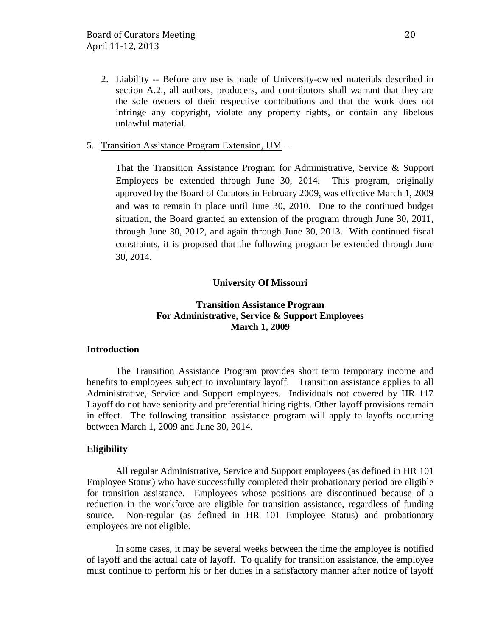2. Liability -- Before any use is made of University-owned materials described in section A.2., all authors, producers, and contributors shall warrant that they are the sole owners of their respective contributions and that the work does not infringe any copyright, violate any property rights, or contain any libelous unlawful material.

## 5. Transition Assistance Program Extension, UM –

That the Transition Assistance Program for Administrative, Service & Support Employees be extended through June 30, 2014. This program, originally approved by the Board of Curators in February 2009, was effective March 1, 2009 and was to remain in place until June 30, 2010. Due to the continued budget situation, the Board granted an extension of the program through June 30, 2011, through June 30, 2012, and again through June 30, 2013. With continued fiscal constraints, it is proposed that the following program be extended through June 30, 2014.

## **University Of Missouri**

## **Transition Assistance Program For Administrative, Service & Support Employees March 1, 2009**

## **Introduction**

The Transition Assistance Program provides short term temporary income and benefits to employees subject to involuntary layoff. Transition assistance applies to all Administrative, Service and Support employees. Individuals not covered by HR 117 Layoff do not have seniority and preferential hiring rights. Other layoff provisions remain in effect. The following transition assistance program will apply to layoffs occurring between March 1, 2009 and June 30, 2014.

## **Eligibility**

All regular Administrative, Service and Support employees (as defined in HR 101 Employee Status) who have successfully completed their probationary period are eligible for transition assistance. Employees whose positions are discontinued because of a reduction in the workforce are eligible for transition assistance, regardless of funding source. Non-regular (as defined in HR 101 Employee Status) and probationary employees are not eligible.

In some cases, it may be several weeks between the time the employee is notified of layoff and the actual date of layoff. To qualify for transition assistance, the employee must continue to perform his or her duties in a satisfactory manner after notice of layoff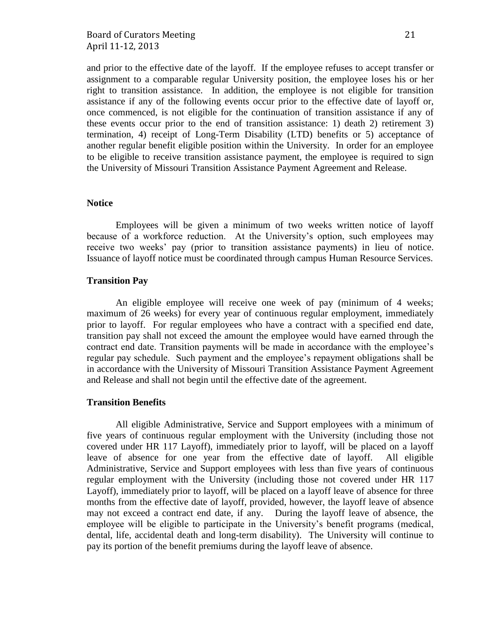and prior to the effective date of the layoff. If the employee refuses to accept transfer or assignment to a comparable regular University position, the employee loses his or her right to transition assistance. In addition, the employee is not eligible for transition assistance if any of the following events occur prior to the effective date of layoff or, once commenced, is not eligible for the continuation of transition assistance if any of these events occur prior to the end of transition assistance: 1) death 2) retirement 3) termination, 4) receipt of Long-Term Disability (LTD) benefits or 5) acceptance of another regular benefit eligible position within the University. In order for an employee to be eligible to receive transition assistance payment, the employee is required to sign the University of Missouri Transition Assistance Payment Agreement and Release.

#### **Notice**

Employees will be given a minimum of two weeks written notice of layoff because of a workforce reduction. At the University's option, such employees may receive two weeks' pay (prior to transition assistance payments) in lieu of notice. Issuance of layoff notice must be coordinated through campus Human Resource Services.

#### **Transition Pay**

An eligible employee will receive one week of pay (minimum of 4 weeks; maximum of 26 weeks) for every year of continuous regular employment, immediately prior to layoff. For regular employees who have a contract with a specified end date, transition pay shall not exceed the amount the employee would have earned through the contract end date. Transition payments will be made in accordance with the employee's regular pay schedule. Such payment and the employee's repayment obligations shall be in accordance with the University of Missouri Transition Assistance Payment Agreement and Release and shall not begin until the effective date of the agreement.

## **Transition Benefits**

All eligible Administrative, Service and Support employees with a minimum of five years of continuous regular employment with the University (including those not covered under HR 117 Layoff), immediately prior to layoff, will be placed on a layoff leave of absence for one year from the effective date of layoff. All eligible Administrative, Service and Support employees with less than five years of continuous regular employment with the University (including those not covered under HR 117 Layoff), immediately prior to layoff, will be placed on a layoff leave of absence for three months from the effective date of layoff, provided, however, the layoff leave of absence may not exceed a contract end date, if any. During the layoff leave of absence, the employee will be eligible to participate in the University's benefit programs (medical, dental, life, accidental death and long-term disability). The University will continue to pay its portion of the benefit premiums during the layoff leave of absence.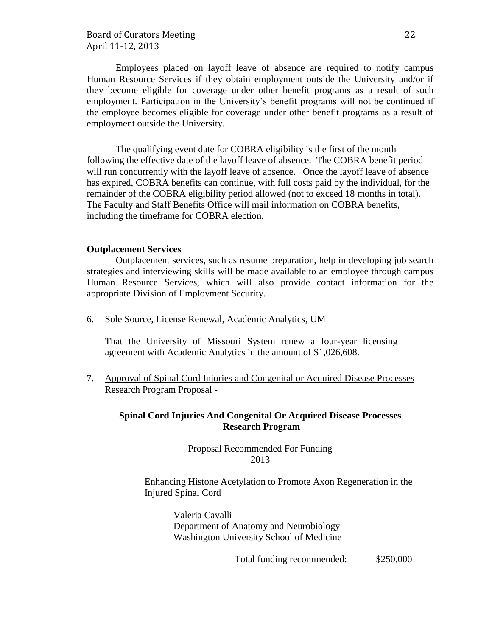## Board of Curators Meeting 22 April 11-12, 2013

Employees placed on layoff leave of absence are required to notify campus Human Resource Services if they obtain employment outside the University and/or if they become eligible for coverage under other benefit programs as a result of such employment. Participation in the University's benefit programs will not be continued if the employee becomes eligible for coverage under other benefit programs as a result of employment outside the University.

The qualifying event date for COBRA eligibility is the first of the month following the effective date of the layoff leave of absence. The COBRA benefit period will run concurrently with the layoff leave of absence. Once the layoff leave of absence has expired, COBRA benefits can continue, with full costs paid by the individual, for the remainder of the COBRA eligibility period allowed (not to exceed 18 months in total). The Faculty and Staff Benefits Office will mail information on COBRA benefits, including the timeframe for COBRA election.

#### **Outplacement Services**

Outplacement services, such as resume preparation, help in developing job search strategies and interviewing skills will be made available to an employee through campus Human Resource Services, which will also provide contact information for the appropriate Division of Employment Security.

6. Sole Source, License Renewal, Academic Analytics, UM –

That the University of Missouri System renew a four-year licensing agreement with Academic Analytics in the amount of \$1,026,608.

7. Approval of Spinal Cord Injuries and Congenital or Acquired Disease Processes Research Program Proposal -

## **Spinal Cord Injuries And Congenital Or Acquired Disease Processes Research Program**

Proposal Recommended For Funding 2013

Enhancing Histone Acetylation to Promote Axon Regeneration in the Injured Spinal Cord

> Valeria Cavalli Department of Anatomy and Neurobiology Washington University School of Medicine

> > Total funding recommended: \$250,000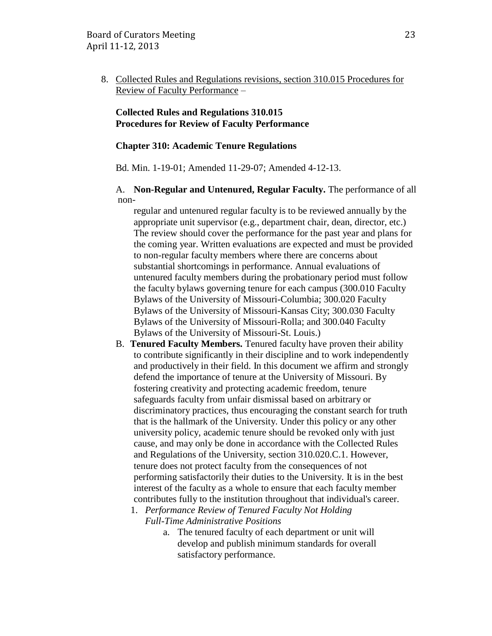8. Collected Rules and Regulations revisions, section 310.015 Procedures for Review of Faculty Performance –

## **Collected Rules and Regulations 310.015 Procedures for Review of Faculty Performance**

#### **Chapter 310: Academic Tenure Regulations**

Bd. Min. 1-19-01; Amended 11-29-07; Amended 4-12-13.

## A. **Non-Regular and Untenured, Regular Faculty.** The performance of all non-

regular and untenured regular faculty is to be reviewed annually by the appropriate unit supervisor (e.g., department chair, dean, director, etc.) The review should cover the performance for the past year and plans for the coming year. Written evaluations are expected and must be provided to non-regular faculty members where there are concerns about substantial shortcomings in performance. Annual evaluations of untenured faculty members during the probationary period must follow the faculty bylaws governing tenure for each campus (300.010 Faculty Bylaws of the University of Missouri-Columbia; 300.020 Faculty Bylaws of the University of Missouri-Kansas City; 300.030 Faculty Bylaws of the University of Missouri-Rolla; and 300.040 Faculty Bylaws of the University of Missouri-St. Louis.)

- B. **Tenured Faculty Members.** Tenured faculty have proven their ability to contribute significantly in their discipline and to work independently and productively in their field. In this document we affirm and strongly defend the importance of tenure at the University of Missouri. By fostering creativity and protecting academic freedom, tenure safeguards faculty from unfair dismissal based on arbitrary or discriminatory practices, thus encouraging the constant search for truth that is the hallmark of the University. Under this policy or any other university policy, academic tenure should be revoked only with just cause, and may only be done in accordance with the Collected Rules and Regulations of the University, section 310.020.C.1. However, tenure does not protect faculty from the consequences of not performing satisfactorily their duties to the University. It is in the best interest of the faculty as a whole to ensure that each faculty member contributes fully to the institution throughout that individual's career.
	- 1. *Performance Review of Tenured Faculty Not Holding Full-Time Administrative Positions*
		- a. The tenured faculty of each department or unit will develop and publish minimum standards for overall satisfactory performance.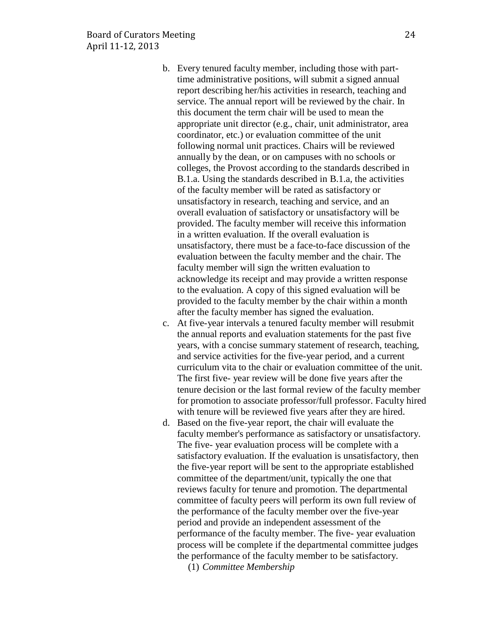- b. Every tenured faculty member, including those with parttime administrative positions, will submit a signed annual report describing her/his activities in research, teaching and service. The annual report will be reviewed by the chair. In this document the term chair will be used to mean the appropriate unit director (e.g., chair, unit administrator, area coordinator, etc.) or evaluation committee of the unit following normal unit practices. Chairs will be reviewed annually by the dean, or on campuses with no schools or colleges, the Provost according to the standards described in B.1.a. Using the standards described in B.1.a, the activities of the faculty member will be rated as satisfactory or unsatisfactory in research, teaching and service, and an overall evaluation of satisfactory or unsatisfactory will be provided. The faculty member will receive this information in a written evaluation. If the overall evaluation is unsatisfactory, there must be a face-to-face discussion of the evaluation between the faculty member and the chair. The faculty member will sign the written evaluation to acknowledge its receipt and may provide a written response to the evaluation. A copy of this signed evaluation will be provided to the faculty member by the chair within a month after the faculty member has signed the evaluation.
- c. At five-year intervals a tenured faculty member will resubmit the annual reports and evaluation statements for the past five years, with a concise summary statement of research, teaching, and service activities for the five-year period, and a current curriculum vita to the chair or evaluation committee of the unit. The first five- year review will be done five years after the tenure decision or the last formal review of the faculty member for promotion to associate professor/full professor. Faculty hired with tenure will be reviewed five years after they are hired.
- d. Based on the five-year report, the chair will evaluate the faculty member's performance as satisfactory or unsatisfactory. The five- year evaluation process will be complete with a satisfactory evaluation. If the evaluation is unsatisfactory, then the five-year report will be sent to the appropriate established committee of the department/unit, typically the one that reviews faculty for tenure and promotion. The departmental committee of faculty peers will perform its own full review of the performance of the faculty member over the five-year period and provide an independent assessment of the performance of the faculty member. The five- year evaluation process will be complete if the departmental committee judges the performance of the faculty member to be satisfactory.

(1) *Committee Membership*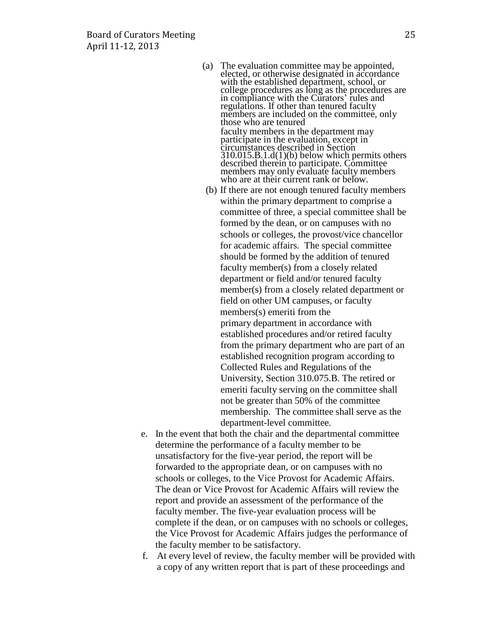- (a) The evaluation committee may be appointed, elected, or otherwise designated in accordance with the established department, school, or college procedures as long as the procedures are in compliance with the Curators' rules and regulations. If other than tenured faculty members are included on the committee, only those who are tenured faculty members in the department may participate in the evaluation, except in circumstances described in Section 310.015.B.1.d(1)(b) below which permits others described therein to participate. Committee members may only evaluate faculty members who are at their current rank or below.
- (b) If there are not enough tenured faculty members within the primary department to comprise a committee of three, a special committee shall be formed by the dean, or on campuses with no schools or colleges, the provost/vice chancellor for academic affairs. The special committee should be formed by the addition of tenured faculty member(s) from a closely related department or field and/or tenured faculty member(s) from a closely related department or field on other UM campuses, or faculty members(s) emeriti from the primary department in accordance with established procedures and/or retired faculty from the primary department who are part of an established recognition program according to Collected Rules and Regulations of the University, Section 310.075.B. The retired or emeriti faculty serving on the committee shall not be greater than 50% of the committee membership. The committee shall serve as the department-level committee.
- e. In the event that both the chair and the departmental committee determine the performance of a faculty member to be unsatisfactory for the five-year period, the report will be forwarded to the appropriate dean, or on campuses with no schools or colleges, to the Vice Provost for Academic Affairs. The dean or Vice Provost for Academic Affairs will review the report and provide an assessment of the performance of the faculty member. The five-year evaluation process will be complete if the dean, or on campuses with no schools or colleges, the Vice Provost for Academic Affairs judges the performance of the faculty member to be satisfactory.
- f. At every level of review, the faculty member will be provided with a copy of any written report that is part of these proceedings and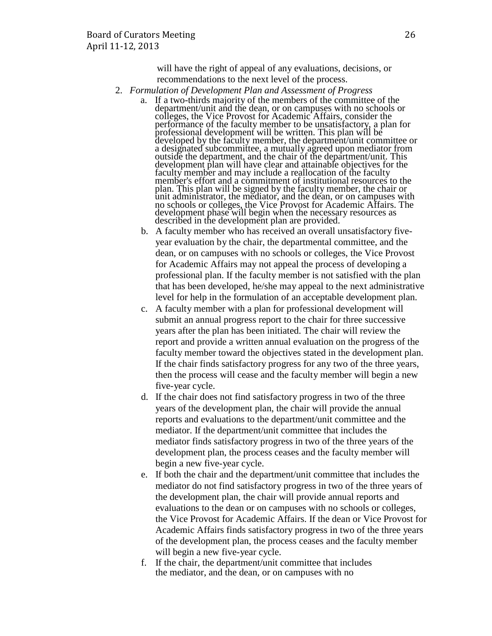will have the right of appeal of any evaluations, decisions, or recommendations to the next level of the process.

- 2. *Formulation of Development Plan and Assessment of Progress*
	- a. If a two-thirds majority of the members of the committee of the department/unit and the dean, or on campuses with no schools or colleges, the Vice Provost for Academic Affairs, consider the performance of the faculty member to be unsatisfactory, a plan for professional development will be written. This plan will be developed by the faculty member, the department/unit committee or a designated subcommittee, a mutually agreed upon mediator from outside the department, and the chair of the department/unit. This development plan will have clear and attainable objectives for the faculty member and may include a reallocation of the faculty member's effort and a commitment of institutional resources to the plan. This plan will be signed by the faculty member, the chair or unit administrator, the mediator, and the dean, or on campuses with no schools or colleges, the Vice Provost for Academic Affairs. The development phase will begin when the necessary resources as described in the development plan are provided.
	- b. A faculty member who has received an overall unsatisfactory fiveyear evaluation by the chair, the departmental committee, and the dean, or on campuses with no schools or colleges, the Vice Provost for Academic Affairs may not appeal the process of developing a professional plan. If the faculty member is not satisfied with the plan that has been developed, he/she may appeal to the next administrative level for help in the formulation of an acceptable development plan.
	- c. A faculty member with a plan for professional development will submit an annual progress report to the chair for three successive years after the plan has been initiated. The chair will review the report and provide a written annual evaluation on the progress of the faculty member toward the objectives stated in the development plan. If the chair finds satisfactory progress for any two of the three years, then the process will cease and the faculty member will begin a new five-year cycle.
	- d. If the chair does not find satisfactory progress in two of the three years of the development plan, the chair will provide the annual reports and evaluations to the department/unit committee and the mediator. If the department/unit committee that includes the mediator finds satisfactory progress in two of the three years of the development plan, the process ceases and the faculty member will begin a new five-year cycle.
	- e. If both the chair and the department/unit committee that includes the mediator do not find satisfactory progress in two of the three years of the development plan, the chair will provide annual reports and evaluations to the dean or on campuses with no schools or colleges, the Vice Provost for Academic Affairs. If the dean or Vice Provost for Academic Affairs finds satisfactory progress in two of the three years of the development plan, the process ceases and the faculty member will begin a new five-year cycle.
	- f. If the chair, the department/unit committee that includes the mediator, and the dean, or on campuses with no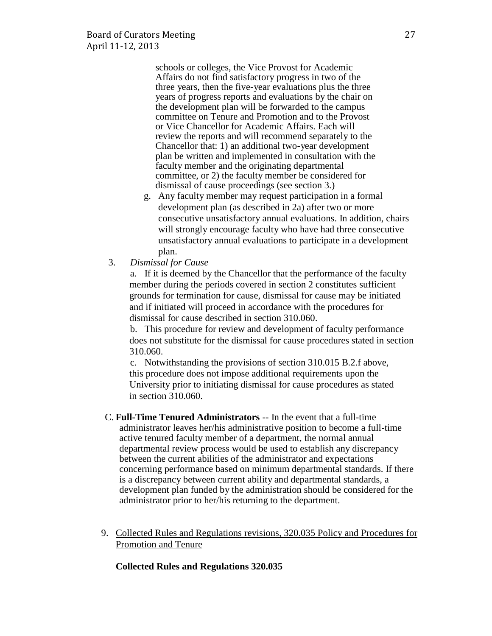schools or colleges, the Vice Provost for Academic Affairs do not find satisfactory progress in two of the three years, then the five-year evaluations plus the three years of progress reports and evaluations by the chair on the development plan will be forwarded to the campus committee on Tenure and Promotion and to the Provost or Vice Chancellor for Academic Affairs. Each will review the reports and will recommend separately to the Chancellor that: 1) an additional two-year development plan be written and implemented in consultation with the faculty member and the originating departmental committee, or 2) the faculty member be considered for dismissal of cause proceedings (see section 3.)

- g. Any faculty member may request participation in a formal development plan (as described in 2a) after two or more consecutive unsatisfactory annual evaluations. In addition, chairs will strongly encourage faculty who have had three consecutive unsatisfactory annual evaluations to participate in a development plan.
- 3. *Dismissal for Cause*

a. If it is deemed by the Chancellor that the performance of the faculty member during the periods covered in section 2 constitutes sufficient grounds for termination for cause, dismissal for cause may be initiated and if initiated will proceed in accordance with the procedures for dismissal for cause described in section 310.060.

b. This procedure for review and development of faculty performance does not substitute for the dismissal for cause procedures stated in section 310.060.

c. Notwithstanding the provisions of section 310.015 B.2.f above, this procedure does not impose additional requirements upon the University prior to initiating dismissal for cause procedures as stated in section 310.060.

- C. **Full-Time Tenured Administrators** -- In the event that a full-time administrator leaves her/his administrative position to become a full-time active tenured faculty member of a department, the normal annual departmental review process would be used to establish any discrepancy between the current abilities of the administrator and expectations concerning performance based on minimum departmental standards. If there is a discrepancy between current ability and departmental standards, a development plan funded by the administration should be considered for the administrator prior to her/his returning to the department.
- 9. Collected Rules and Regulations revisions, 320.035 Policy and Procedures for Promotion and Tenure

#### **Collected Rules and Regulations 320.035**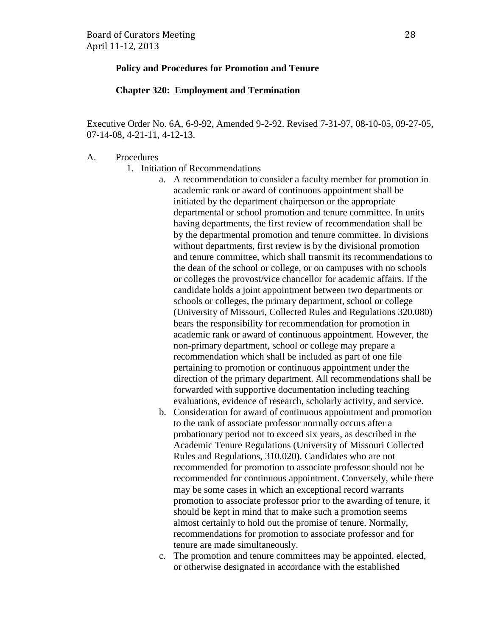#### **Policy and Procedures for Promotion and Tenure**

## **Chapter 320: Employment and Termination**

Executive Order No. 6A, 6-9-92, Amended 9-2-92. Revised 7-31-97, 08-10-05, 09-27-05, 07-14-08, 4-21-11, 4-12-13.

#### A. Procedures

- 1. Initiation of Recommendations
	- a. A recommendation to consider a faculty member for promotion in academic rank or award of continuous appointment shall be initiated by the department chairperson or the appropriate departmental or school promotion and tenure committee. In units having departments, the first review of recommendation shall be by the departmental promotion and tenure committee. In divisions without departments, first review is by the divisional promotion and tenure committee, which shall transmit its recommendations to the dean of the school or college, or on campuses with no schools or colleges the provost/vice chancellor for academic affairs. If the candidate holds a joint appointment between two departments or schools or colleges, the primary department, school or college (University of Missouri, Collected Rules and Regulations 320.080) bears the responsibility for recommendation for promotion in academic rank or award of continuous appointment. However, the non-primary department, school or college may prepare a recommendation which shall be included as part of one file pertaining to promotion or continuous appointment under the direction of the primary department. All recommendations shall be forwarded with supportive documentation including teaching evaluations, evidence of research, scholarly activity, and service.
	- b. Consideration for award of continuous appointment and promotion to the rank of associate professor normally occurs after a probationary period not to exceed six years, as described in the Academic Tenure Regulations (University of Missouri Collected Rules and Regulations, 310.020). Candidates who are not recommended for promotion to associate professor should not be recommended for continuous appointment. Conversely, while there may be some cases in which an exceptional record warrants promotion to associate professor prior to the awarding of tenure, it should be kept in mind that to make such a promotion seems almost certainly to hold out the promise of tenure. Normally, recommendations for promotion to associate professor and for tenure are made simultaneously.
	- c. The promotion and tenure committees may be appointed, elected, or otherwise designated in accordance with the established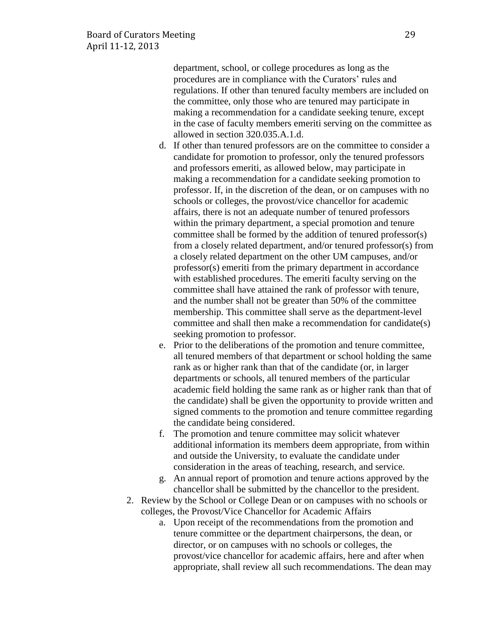department, school, or college procedures as long as the procedures are in compliance with the Curators' rules and regulations. If other than tenured faculty members are included on the committee, only those who are tenured may participate in making a recommendation for a candidate seeking tenure, except in the case of faculty members emeriti serving on the committee as allowed in section 320.035.A.1.d.

- d. If other than tenured professors are on the committee to consider a candidate for promotion to professor, only the tenured professors and professors emeriti, as allowed below, may participate in making a recommendation for a candidate seeking promotion to professor. If, in the discretion of the dean, or on campuses with no schools or colleges, the provost/vice chancellor for academic affairs, there is not an adequate number of tenured professors within the primary department, a special promotion and tenure committee shall be formed by the addition of tenured professor(s) from a closely related department, and/or tenured professor(s) from a closely related department on the other UM campuses, and/or professor(s) emeriti from the primary department in accordance with established procedures. The emeriti faculty serving on the committee shall have attained the rank of professor with tenure, and the number shall not be greater than 50% of the committee membership. This committee shall serve as the department-level committee and shall then make a recommendation for candidate(s) seeking promotion to professor.
- e. Prior to the deliberations of the promotion and tenure committee, all tenured members of that department or school holding the same rank as or higher rank than that of the candidate (or, in larger departments or schools, all tenured members of the particular academic field holding the same rank as or higher rank than that of the candidate) shall be given the opportunity to provide written and signed comments to the promotion and tenure committee regarding the candidate being considered.
- f. The promotion and tenure committee may solicit whatever additional information its members deem appropriate, from within and outside the University, to evaluate the candidate under consideration in the areas of teaching, research, and service.
- g. An annual report of promotion and tenure actions approved by the chancellor shall be submitted by the chancellor to the president.
- 2. Review by the School or College Dean or on campuses with no schools or colleges, the Provost/Vice Chancellor for Academic Affairs
	- a. Upon receipt of the recommendations from the promotion and tenure committee or the department chairpersons, the dean, or director, or on campuses with no schools or colleges, the provost/vice chancellor for academic affairs, here and after when appropriate, shall review all such recommendations. The dean may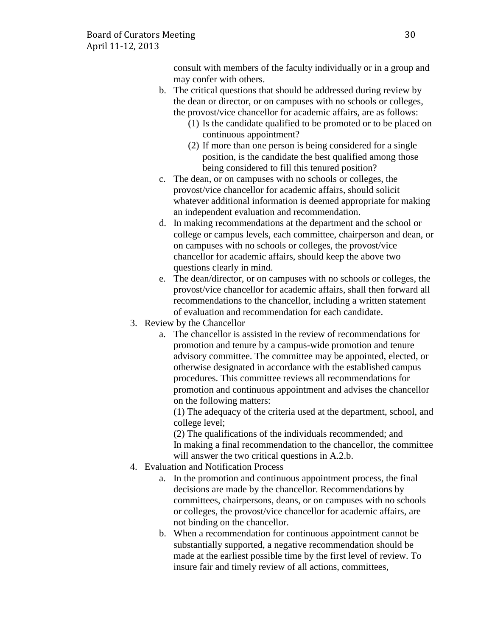consult with members of the faculty individually or in a group and may confer with others.

- b. The critical questions that should be addressed during review by the dean or director, or on campuses with no schools or colleges, the provost/vice chancellor for academic affairs, are as follows:
	- (1) Is the candidate qualified to be promoted or to be placed on continuous appointment?
	- (2) If more than one person is being considered for a single position, is the candidate the best qualified among those being considered to fill this tenured position?
- c. The dean, or on campuses with no schools or colleges, the provost/vice chancellor for academic affairs, should solicit whatever additional information is deemed appropriate for making an independent evaluation and recommendation.
- d. In making recommendations at the department and the school or college or campus levels, each committee, chairperson and dean, or on campuses with no schools or colleges, the provost/vice chancellor for academic affairs, should keep the above two questions clearly in mind.
- e. The dean/director, or on campuses with no schools or colleges, the provost/vice chancellor for academic affairs, shall then forward all recommendations to the chancellor, including a written statement of evaluation and recommendation for each candidate.
- 3. Review by the Chancellor
	- a. The chancellor is assisted in the review of recommendations for promotion and tenure by a campus-wide promotion and tenure advisory committee. The committee may be appointed, elected, or otherwise designated in accordance with the established campus procedures. This committee reviews all recommendations for promotion and continuous appointment and advises the chancellor on the following matters:

(1) The adequacy of the criteria used at the department, school, and college level;

(2) The qualifications of the individuals recommended; and In making a final recommendation to the chancellor, the committee will answer the two critical questions in A.2.b.

- 4. Evaluation and Notification Process
	- a. In the promotion and continuous appointment process, the final decisions are made by the chancellor. Recommendations by committees, chairpersons, deans, or on campuses with no schools or colleges, the provost/vice chancellor for academic affairs, are not binding on the chancellor.
	- b. When a recommendation for continuous appointment cannot be substantially supported, a negative recommendation should be made at the earliest possible time by the first level of review. To insure fair and timely review of all actions, committees,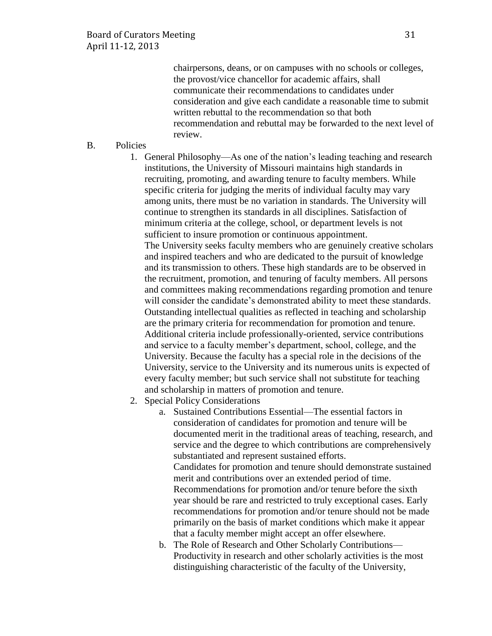chairpersons, deans, or on campuses with no schools or colleges, the provost/vice chancellor for academic affairs, shall communicate their recommendations to candidates under consideration and give each candidate a reasonable time to submit written rebuttal to the recommendation so that both recommendation and rebuttal may be forwarded to the next level of review.

B. Policies

1. General Philosophy—As one of the nation's leading teaching and research institutions, the University of Missouri maintains high standards in recruiting, promoting, and awarding tenure to faculty members. While specific criteria for judging the merits of individual faculty may vary among units, there must be no variation in standards. The University will continue to strengthen its standards in all disciplines. Satisfaction of minimum criteria at the college, school, or department levels is not sufficient to insure promotion or continuous appointment.

The University seeks faculty members who are genuinely creative scholars and inspired teachers and who are dedicated to the pursuit of knowledge and its transmission to others. These high standards are to be observed in the recruitment, promotion, and tenuring of faculty members. All persons and committees making recommendations regarding promotion and tenure will consider the candidate's demonstrated ability to meet these standards. Outstanding intellectual qualities as reflected in teaching and scholarship are the primary criteria for recommendation for promotion and tenure. Additional criteria include professionally-oriented, service contributions and service to a faculty member's department, school, college, and the University. Because the faculty has a special role in the decisions of the University, service to the University and its numerous units is expected of every faculty member; but such service shall not substitute for teaching and scholarship in matters of promotion and tenure.

- 2. Special Policy Considerations
	- a. Sustained Contributions Essential—The essential factors in consideration of candidates for promotion and tenure will be documented merit in the traditional areas of teaching, research, and service and the degree to which contributions are comprehensively substantiated and represent sustained efforts. Candidates for promotion and tenure should demonstrate sustained merit and contributions over an extended period of time. Recommendations for promotion and/or tenure before the sixth year should be rare and restricted to truly exceptional cases. Early recommendations for promotion and/or tenure should not be made primarily on the basis of market conditions which make it appear that a faculty member might accept an offer elsewhere.
	- b. The Role of Research and Other Scholarly Contributions— Productivity in research and other scholarly activities is the most distinguishing characteristic of the faculty of the University,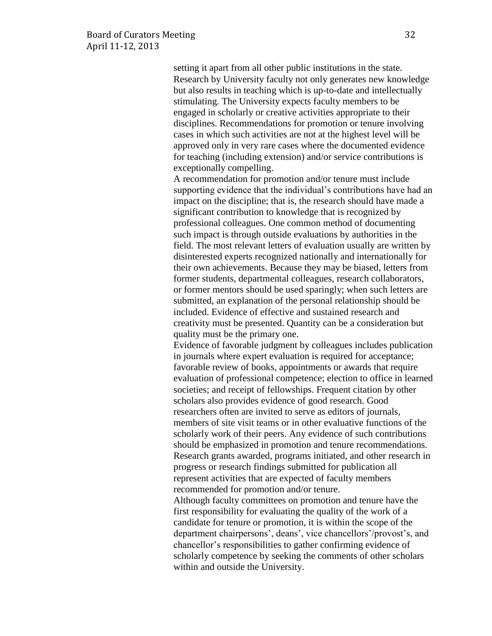setting it apart from all other public institutions in the state. Research by University faculty not only generates new knowledge but also results in teaching which is up-to-date and intellectually stimulating. The University expects faculty members to be engaged in scholarly or creative activities appropriate to their disciplines. Recommendations for promotion or tenure involving cases in which such activities are not at the highest level will be approved only in very rare cases where the documented evidence for teaching (including extension) and/or service contributions is exceptionally compelling.

A recommendation for promotion and/or tenure must include supporting evidence that the individual's contributions have had an impact on the discipline; that is, the research should have made a significant contribution to knowledge that is recognized by professional colleagues. One common method of documenting such impact is through outside evaluations by authorities in the field. The most relevant letters of evaluation usually are written by disinterested experts recognized nationally and internationally for their own achievements. Because they may be biased, letters from former students, departmental colleagues, research collaborators, or former mentors should be used sparingly; when such letters are submitted, an explanation of the personal relationship should be included. Evidence of effective and sustained research and creativity must be presented. Quantity can be a consideration but quality must be the primary one.

Evidence of favorable judgment by colleagues includes publication in journals where expert evaluation is required for acceptance; favorable review of books, appointments or awards that require evaluation of professional competence; election to office in learned societies; and receipt of fellowships. Frequent citation by other scholars also provides evidence of good research. Good researchers often are invited to serve as editors of journals, members of site visit teams or in other evaluative functions of the scholarly work of their peers. Any evidence of such contributions should be emphasized in promotion and tenure recommendations. Research grants awarded, programs initiated, and other research in progress or research findings submitted for publication all represent activities that are expected of faculty members recommended for promotion and/or tenure.

Although faculty committees on promotion and tenure have the first responsibility for evaluating the quality of the work of a candidate for tenure or promotion, it is within the scope of the department chairpersons', deans', vice chancellors'/provost's, and chancellor's responsibilities to gather confirming evidence of scholarly competence by seeking the comments of other scholars within and outside the University.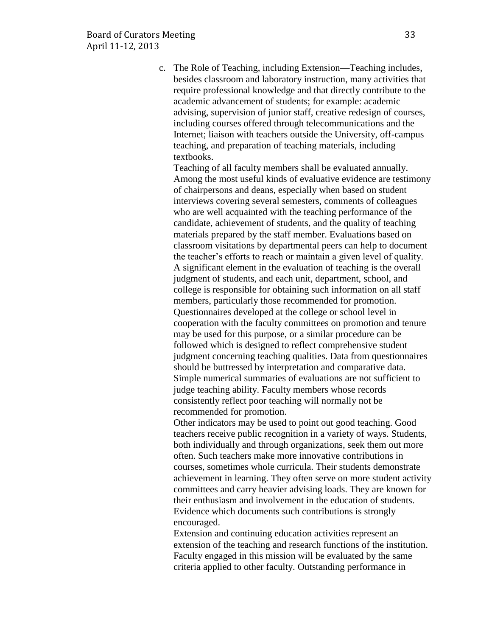c. The Role of Teaching, including Extension—Teaching includes, besides classroom and laboratory instruction, many activities that require professional knowledge and that directly contribute to the academic advancement of students; for example: academic advising, supervision of junior staff, creative redesign of courses, including courses offered through telecommunications and the Internet; liaison with teachers outside the University, off-campus teaching, and preparation of teaching materials, including textbooks.

Teaching of all faculty members shall be evaluated annually. Among the most useful kinds of evaluative evidence are testimony of chairpersons and deans, especially when based on student interviews covering several semesters, comments of colleagues who are well acquainted with the teaching performance of the candidate, achievement of students, and the quality of teaching materials prepared by the staff member. Evaluations based on classroom visitations by departmental peers can help to document the teacher's efforts to reach or maintain a given level of quality. A significant element in the evaluation of teaching is the overall judgment of students, and each unit, department, school, and college is responsible for obtaining such information on all staff members, particularly those recommended for promotion. Questionnaires developed at the college or school level in cooperation with the faculty committees on promotion and tenure may be used for this purpose, or a similar procedure can be followed which is designed to reflect comprehensive student judgment concerning teaching qualities. Data from questionnaires should be buttressed by interpretation and comparative data. Simple numerical summaries of evaluations are not sufficient to judge teaching ability. Faculty members whose records consistently reflect poor teaching will normally not be recommended for promotion.

Other indicators may be used to point out good teaching. Good teachers receive public recognition in a variety of ways. Students, both individually and through organizations, seek them out more often. Such teachers make more innovative contributions in courses, sometimes whole curricula. Their students demonstrate achievement in learning. They often serve on more student activity committees and carry heavier advising loads. They are known for their enthusiasm and involvement in the education of students. Evidence which documents such contributions is strongly encouraged.

Extension and continuing education activities represent an extension of the teaching and research functions of the institution. Faculty engaged in this mission will be evaluated by the same criteria applied to other faculty. Outstanding performance in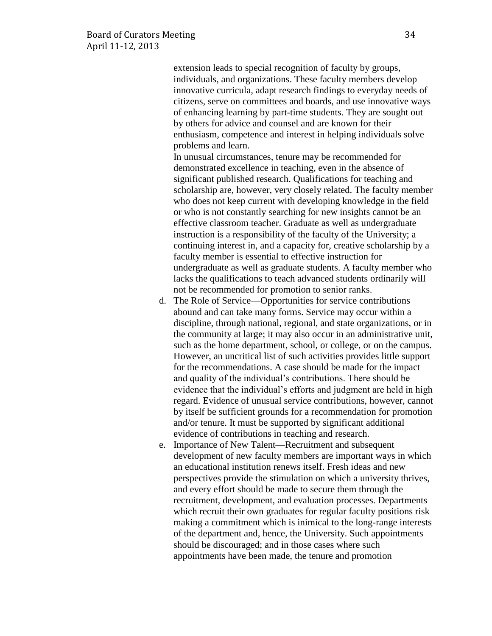extension leads to special recognition of faculty by groups, individuals, and organizations. These faculty members develop innovative curricula, adapt research findings to everyday needs of citizens, serve on committees and boards, and use innovative ways of enhancing learning by part-time students. They are sought out by others for advice and counsel and are known for their enthusiasm, competence and interest in helping individuals solve problems and learn.

In unusual circumstances, tenure may be recommended for demonstrated excellence in teaching, even in the absence of significant published research. Qualifications for teaching and scholarship are, however, very closely related. The faculty member who does not keep current with developing knowledge in the field or who is not constantly searching for new insights cannot be an effective classroom teacher. Graduate as well as undergraduate instruction is a responsibility of the faculty of the University; a continuing interest in, and a capacity for, creative scholarship by a faculty member is essential to effective instruction for undergraduate as well as graduate students. A faculty member who lacks the qualifications to teach advanced students ordinarily will not be recommended for promotion to senior ranks.

- d. The Role of Service—Opportunities for service contributions abound and can take many forms. Service may occur within a discipline, through national, regional, and state organizations, or in the community at large; it may also occur in an administrative unit, such as the home department, school, or college, or on the campus. However, an uncritical list of such activities provides little support for the recommendations. A case should be made for the impact and quality of the individual's contributions. There should be evidence that the individual's efforts and judgment are held in high regard. Evidence of unusual service contributions, however, cannot by itself be sufficient grounds for a recommendation for promotion and/or tenure. It must be supported by significant additional evidence of contributions in teaching and research.
- e. Importance of New Talent—Recruitment and subsequent development of new faculty members are important ways in which an educational institution renews itself. Fresh ideas and new perspectives provide the stimulation on which a university thrives, and every effort should be made to secure them through the recruitment, development, and evaluation processes. Departments which recruit their own graduates for regular faculty positions risk making a commitment which is inimical to the long-range interests of the department and, hence, the University. Such appointments should be discouraged; and in those cases where such appointments have been made, the tenure and promotion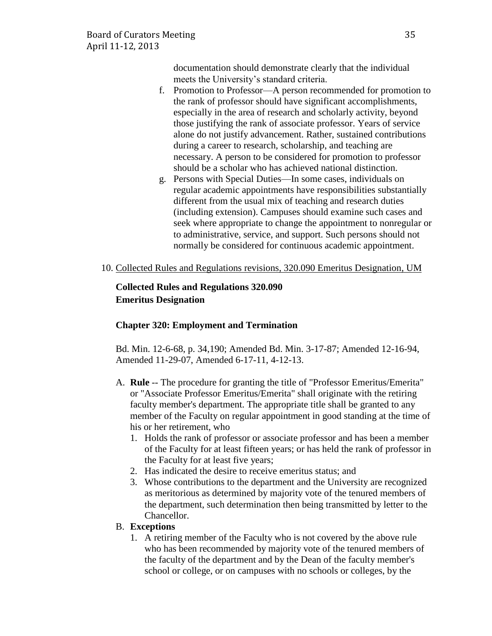documentation should demonstrate clearly that the individual meets the University's standard criteria.

- f. Promotion to Professor—A person recommended for promotion to the rank of professor should have significant accomplishments, especially in the area of research and scholarly activity, beyond those justifying the rank of associate professor. Years of service alone do not justify advancement. Rather, sustained contributions during a career to research, scholarship, and teaching are necessary. A person to be considered for promotion to professor should be a scholar who has achieved national distinction.
- g. Persons with Special Duties—In some cases, individuals on regular academic appointments have responsibilities substantially different from the usual mix of teaching and research duties (including extension). Campuses should examine such cases and seek where appropriate to change the appointment to nonregular or to administrative, service, and support. Such persons should not normally be considered for continuous academic appointment.
- 10. Collected Rules and Regulations revisions, 320.090 Emeritus Designation, UM

# **Collected Rules and Regulations 320.090 Emeritus Designation**

## **Chapter 320: Employment and Termination**

Bd. Min. 12-6-68, p. 34,190; Amended Bd. Min. 3-17-87; Amended 12-16-94, Amended 11-29-07, Amended 6-17-11, 4-12-13.

- A. **Rule** -- The procedure for granting the title of "Professor Emeritus/Emerita" or "Associate Professor Emeritus/Emerita" shall originate with the retiring faculty member's department. The appropriate title shall be granted to any member of the Faculty on regular appointment in good standing at the time of his or her retirement, who
	- 1. Holds the rank of professor or associate professor and has been a member of the Faculty for at least fifteen years; or has held the rank of professor in the Faculty for at least five years;
	- 2. Has indicated the desire to receive emeritus status; and
	- 3. Whose contributions to the department and the University are recognized as meritorious as determined by majority vote of the tenured members of the department, such determination then being transmitted by letter to the Chancellor.

## B. **Exceptions**

1. A retiring member of the Faculty who is not covered by the above rule who has been recommended by majority vote of the tenured members of the faculty of the department and by the Dean of the faculty member's school or college, or on campuses with no schools or colleges, by the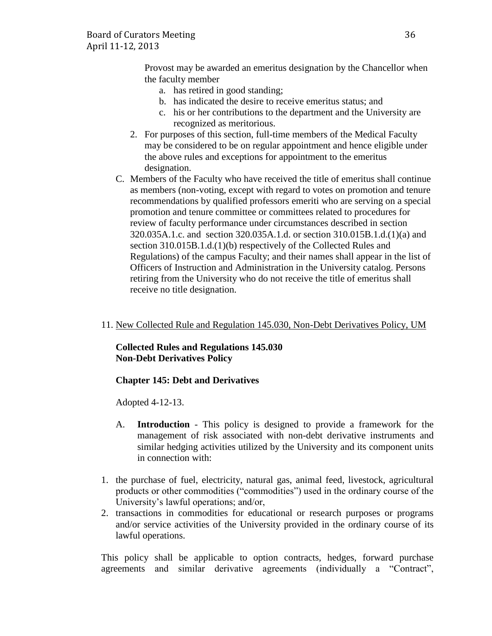Provost may be awarded an emeritus designation by the Chancellor when the faculty member

- a. has retired in good standing;
- b. has indicated the desire to receive emeritus status; and
- c. his or her contributions to the department and the University are recognized as meritorious.
- 2. For purposes of this section, full-time members of the Medical Faculty may be considered to be on regular appointment and hence eligible under the above rules and exceptions for appointment to the emeritus designation.
- C. Members of the Faculty who have received the title of emeritus shall continue as members (non-voting, except with regard to votes on promotion and tenure recommendations by qualified professors emeriti who are serving on a special promotion and tenure committee or committees related to procedures for review of faculty performance under circumstances described in section 320.035A.1.c. and section 320.035A.1.d. or section 310.015B.1.d.(1)(a) and section 310.015B.1.d.(1)(b) respectively of the Collected Rules and Regulations) of the campus Faculty; and their names shall appear in the list of Officers of Instruction and Administration in the University catalog. Persons retiring from the University who do not receive the title of emeritus shall receive no title designation.
- 11. New Collected Rule and Regulation 145.030, Non-Debt Derivatives Policy, UM

# **Collected Rules and Regulations 145.030 Non-Debt Derivatives Policy**

# **Chapter 145: Debt and Derivatives**

Adopted 4-12-13.

- A. **Introduction** This policy is designed to provide a framework for the management of risk associated with non-debt derivative instruments and similar hedging activities utilized by the University and its component units in connection with:
- 1. the purchase of fuel, electricity, natural gas, animal feed, livestock, agricultural products or other commodities ("commodities") used in the ordinary course of the University's lawful operations; and/or,
- 2. transactions in commodities for educational or research purposes or programs and/or service activities of the University provided in the ordinary course of its lawful operations.

This policy shall be applicable to option contracts, hedges, forward purchase agreements and similar derivative agreements (individually a "Contract",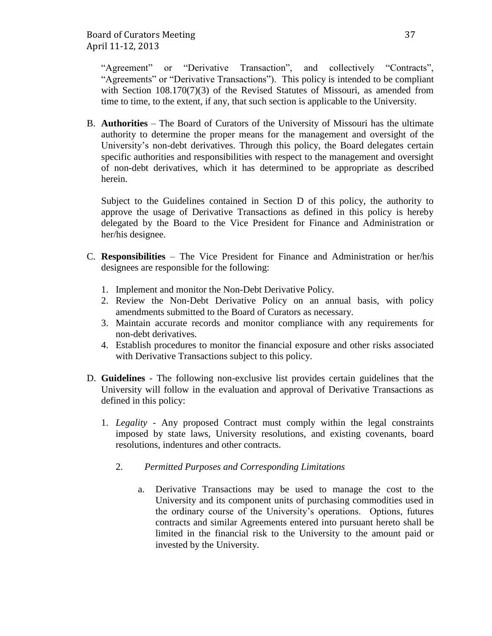"Agreement" or "Derivative Transaction", and collectively "Contracts", "Agreements" or "Derivative Transactions"). This policy is intended to be compliant with Section 108.170(7)(3) of the Revised Statutes of Missouri, as amended from time to time, to the extent, if any, that such section is applicable to the University.

B. **Authorities** – The Board of Curators of the University of Missouri has the ultimate authority to determine the proper means for the management and oversight of the University's non-debt derivatives. Through this policy, the Board delegates certain specific authorities and responsibilities with respect to the management and oversight of non-debt derivatives, which it has determined to be appropriate as described herein.

Subject to the Guidelines contained in Section D of this policy, the authority to approve the usage of Derivative Transactions as defined in this policy is hereby delegated by the Board to the Vice President for Finance and Administration or her/his designee.

- C. **Responsibilities** The Vice President for Finance and Administration or her/his designees are responsible for the following:
	- 1. Implement and monitor the Non-Debt Derivative Policy.
	- 2. Review the Non-Debt Derivative Policy on an annual basis, with policy amendments submitted to the Board of Curators as necessary.
	- 3. Maintain accurate records and monitor compliance with any requirements for non-debt derivatives.
	- 4. Establish procedures to monitor the financial exposure and other risks associated with Derivative Transactions subject to this policy.
- D. **Guidelines** The following non-exclusive list provides certain guidelines that the University will follow in the evaluation and approval of Derivative Transactions as defined in this policy:
	- 1. *Legality* Any proposed Contract must comply within the legal constraints imposed by state laws, University resolutions, and existing covenants, board resolutions, indentures and other contracts.
		- 2. *Permitted Purposes and Corresponding Limitations*
			- a. Derivative Transactions may be used to manage the cost to the University and its component units of purchasing commodities used in the ordinary course of the University's operations. Options, futures contracts and similar Agreements entered into pursuant hereto shall be limited in the financial risk to the University to the amount paid or invested by the University.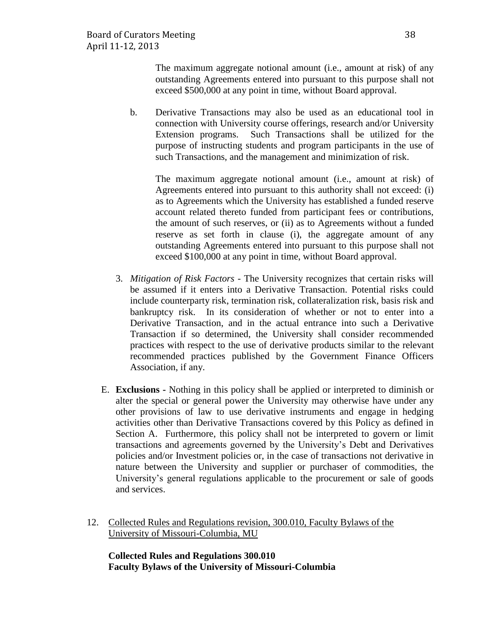The maximum aggregate notional amount (i.e., amount at risk) of any outstanding Agreements entered into pursuant to this purpose shall not exceed \$500,000 at any point in time, without Board approval.

b. Derivative Transactions may also be used as an educational tool in connection with University course offerings, research and/or University Extension programs. Such Transactions shall be utilized for the purpose of instructing students and program participants in the use of such Transactions, and the management and minimization of risk.

The maximum aggregate notional amount (i.e., amount at risk) of Agreements entered into pursuant to this authority shall not exceed: (i) as to Agreements which the University has established a funded reserve account related thereto funded from participant fees or contributions, the amount of such reserves, or (ii) as to Agreements without a funded reserve as set forth in clause (i), the aggregate amount of any outstanding Agreements entered into pursuant to this purpose shall not exceed \$100,000 at any point in time, without Board approval.

- 3. *Mitigation of Risk Factors* The University recognizes that certain risks will be assumed if it enters into a Derivative Transaction. Potential risks could include counterparty risk, termination risk, collateralization risk, basis risk and bankruptcy risk. In its consideration of whether or not to enter into a Derivative Transaction, and in the actual entrance into such a Derivative Transaction if so determined, the University shall consider recommended practices with respect to the use of derivative products similar to the relevant recommended practices published by the Government Finance Officers Association, if any.
- E. **Exclusions -** Nothing in this policy shall be applied or interpreted to diminish or alter the special or general power the University may otherwise have under any other provisions of law to use derivative instruments and engage in hedging activities other than Derivative Transactions covered by this Policy as defined in Section A. Furthermore, this policy shall not be interpreted to govern or limit transactions and agreements governed by the University's Debt and Derivatives policies and/or Investment policies or, in the case of transactions not derivative in nature between the University and supplier or purchaser of commodities, the University's general regulations applicable to the procurement or sale of goods and services.
- 12. Collected Rules and Regulations revision, 300.010, Faculty Bylaws of the University of Missouri-Columbia, MU

**Collected Rules and Regulations 300.010 Faculty Bylaws of the University of Missouri-Columbia**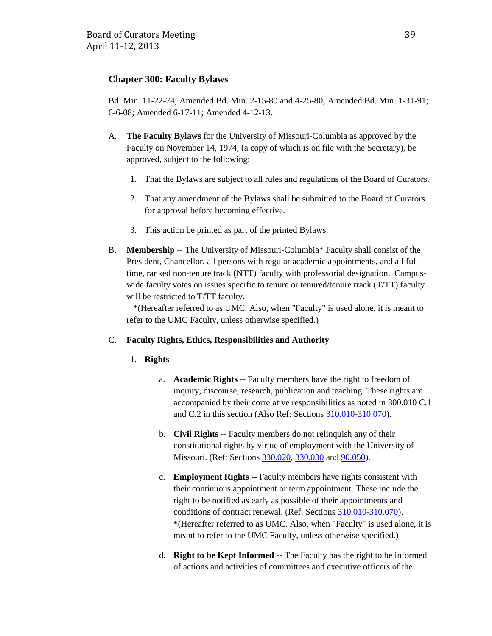## **Chapter 300: Faculty Bylaws**

Bd. Min. 11-22-74; Amended Bd. Min. 2-15-80 and 4-25-80; Amended Bd. Min. 1-31-91; 6-6-08; Amended 6-17-11; Amended 4-12-13.

- A. **The Faculty Bylaws** for the University of Missouri-Columbia as approved by the Faculty on November 14, 1974, (a copy of which is on file with the Secretary), be approved, subject to the following:
	- 1. That the Bylaws are subject to all rules and regulations of the Board of Curators.
	- 2. That any amendment of the Bylaws shall be submitted to the Board of Curators for approval before becoming effective.
	- 3. This action be printed as part of the printed Bylaws.
- B. **Membership** -- The University of Missouri-Columbia\* Faculty shall consist of the President, Chancellor, all persons with regular academic appointments, and all fulltime, ranked non-tenure track (NTT) faculty with professorial designation. Campuswide faculty votes on issues specific to tenure or tenured/tenure track (T/TT) faculty will be restricted to T/TT faculty.

 \*(Hereafter referred to as UMC. Also, when "Faculty" is used alone, it is meant to refer to the UMC Faculty, unless otherwise specified.)

#### C. **Faculty Rights, Ethics, Responsibilities and Authority**

#### 1. **Rights**

- a. **Academic Rights** -- Faculty members have the right to freedom of inquiry, discourse, research, publication and teaching. These rights are accompanied by their correlative responsibilities as noted in 300.010 C.1 and C.2 in this section (Also Ref: Sections 310.010[-310.070\)](http://www.umsystem.edu/ums/rules/collected_rules/faculty/ch310).
- b. **Civil Rights** -- Faculty members do not relinquish any of their constitutional rights by virtue of employment with the University of Missouri. (Ref: Sections [330.020,](http://www.umsystem.edu/ums/rules/collected_rules/personnel/ch330/330.020_civic_responsibility) [330.030](http://www.umsystem.edu/ums/rules/collected_rules/personnel/ch330/330.030_disruption) and [90.050\)](http://www.umsystem.edu/ums/rules/collected_rules/business/ch90/90.050_civil_rights_act_of_1964).
- c. **Employment Rights** -- Faculty members have rights consistent with their continuous appointment or term appointment. These include the right to be notified as early as possible of their appointments and conditions of contract renewal. (Ref: Sections [310.010](http://www.umsystem.edu/ums/rules/collected_rules/faculty/ch300)[-310.070\)](http://www.umsystem.edu/ums/rules/collected_rules/faculty/ch310). **\***(Hereafter referred to as UMC. Also, when "Faculty" is used alone, it is meant to refer to the UMC Faculty, unless otherwise specified.)
- d. **Right to be Kept Informed** -- The Faculty has the right to be informed of actions and activities of committees and executive officers of the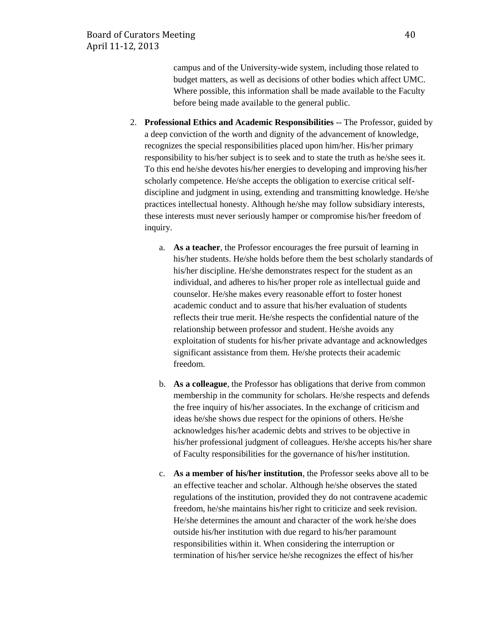campus and of the University-wide system, including those related to budget matters, as well as decisions of other bodies which affect UMC. Where possible, this information shall be made available to the Faculty before being made available to the general public.

- 2. **Professional Ethics and Academic Responsibilities** -- The Professor, guided by a deep conviction of the worth and dignity of the advancement of knowledge, recognizes the special responsibilities placed upon him/her. His/her primary responsibility to his/her subject is to seek and to state the truth as he/she sees it. To this end he/she devotes his/her energies to developing and improving his/her scholarly competence. He/she accepts the obligation to exercise critical selfdiscipline and judgment in using, extending and transmitting knowledge. He/she practices intellectual honesty. Although he/she may follow subsidiary interests, these interests must never seriously hamper or compromise his/her freedom of inquiry.
	- a. **As a teacher**, the Professor encourages the free pursuit of learning in his/her students. He/she holds before them the best scholarly standards of his/her discipline. He/she demonstrates respect for the student as an individual, and adheres to his/her proper role as intellectual guide and counselor. He/she makes every reasonable effort to foster honest academic conduct and to assure that his/her evaluation of students reflects their true merit. He/she respects the confidential nature of the relationship between professor and student. He/she avoids any exploitation of students for his/her private advantage and acknowledges significant assistance from them. He/she protects their academic freedom.
	- b. **As a colleague**, the Professor has obligations that derive from common membership in the community for scholars. He/she respects and defends the free inquiry of his/her associates. In the exchange of criticism and ideas he/she shows due respect for the opinions of others. He/she acknowledges his/her academic debts and strives to be objective in his/her professional judgment of colleagues. He/she accepts his/her share of Faculty responsibilities for the governance of his/her institution.
	- c. **As a member of his/her institution**, the Professor seeks above all to be an effective teacher and scholar. Although he/she observes the stated regulations of the institution, provided they do not contravene academic freedom, he/she maintains his/her right to criticize and seek revision. He/she determines the amount and character of the work he/she does outside his/her institution with due regard to his/her paramount responsibilities within it. When considering the interruption or termination of his/her service he/she recognizes the effect of his/her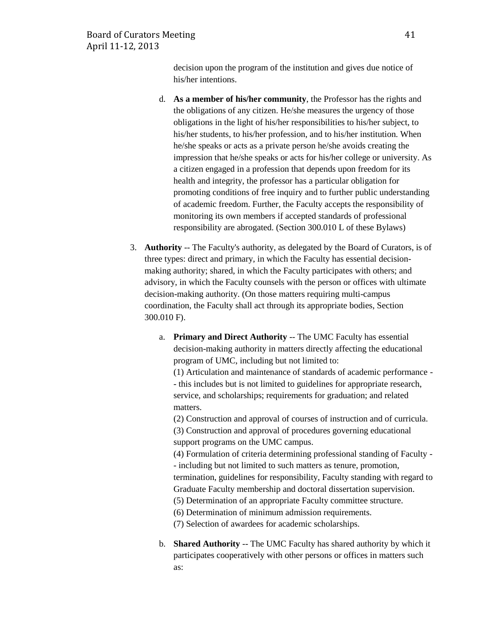decision upon the program of the institution and gives due notice of his/her intentions.

- d. **As a member of his/her community**, the Professor has the rights and the obligations of any citizen. He/she measures the urgency of those obligations in the light of his/her responsibilities to his/her subject, to his/her students, to his/her profession, and to his/her institution. When he/she speaks or acts as a private person he/she avoids creating the impression that he/she speaks or acts for his/her college or university. As a citizen engaged in a profession that depends upon freedom for its health and integrity, the professor has a particular obligation for promoting conditions of free inquiry and to further public understanding of academic freedom. Further, the Faculty accepts the responsibility of monitoring its own members if accepted standards of professional responsibility are abrogated. (Section 300.010 L of these Bylaws)
- 3. **Authority** -- The Faculty's authority, as delegated by the Board of Curators, is of three types: direct and primary, in which the Faculty has essential decisionmaking authority; shared, in which the Faculty participates with others; and advisory, in which the Faculty counsels with the person or offices with ultimate decision-making authority. (On those matters requiring multi-campus coordination, the Faculty shall act through its appropriate bodies, Section 300.010 F).
	- a. **Primary and Direct Authority** -- The UMC Faculty has essential decision-making authority in matters directly affecting the educational program of UMC, including but not limited to:

(1) Articulation and maintenance of standards of academic performance - - this includes but is not limited to guidelines for appropriate research, service, and scholarships; requirements for graduation; and related matters.

(2) Construction and approval of courses of instruction and of curricula.

(3) Construction and approval of procedures governing educational support programs on the UMC campus.

(4) Formulation of criteria determining professional standing of Faculty - - including but not limited to such matters as tenure, promotion, termination, guidelines for responsibility, Faculty standing with regard to Graduate Faculty membership and doctoral dissertation supervision.

(5) Determination of an appropriate Faculty committee structure.

(6) Determination of minimum admission requirements.

(7) Selection of awardees for academic scholarships.

b. **Shared Authority** -- The UMC Faculty has shared authority by which it participates cooperatively with other persons or offices in matters such as: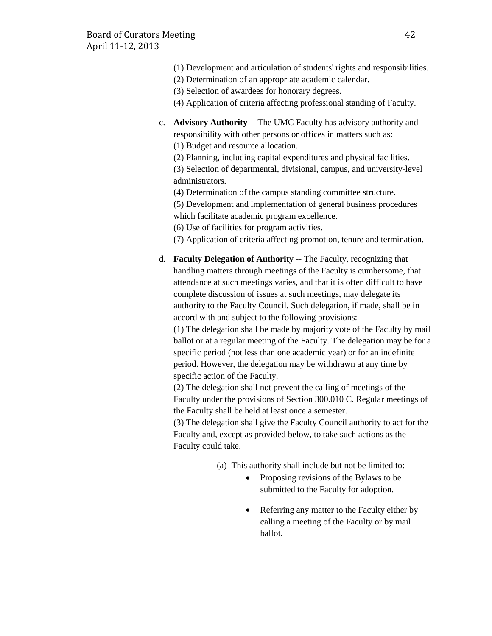- (1) Development and articulation of students' rights and responsibilities.
- (2) Determination of an appropriate academic calendar.
- (3) Selection of awardees for honorary degrees.
- (4) Application of criteria affecting professional standing of Faculty.
- c. **Advisory Authority** -- The UMC Faculty has advisory authority and responsibility with other persons or offices in matters such as: (1) Budget and resource allocation.
	- (2) Planning, including capital expenditures and physical facilities.

(3) Selection of departmental, divisional, campus, and university-level administrators.

(4) Determination of the campus standing committee structure.

(5) Development and implementation of general business procedures which facilitate academic program excellence.

(6) Use of facilities for program activities.

(7) Application of criteria affecting promotion, tenure and termination.

d. **Faculty Delegation of Authority** -- The Faculty, recognizing that handling matters through meetings of the Faculty is cumbersome, that attendance at such meetings varies, and that it is often difficult to have complete discussion of issues at such meetings, may delegate its authority to the Faculty Council. Such delegation, if made, shall be in accord with and subject to the following provisions:

(1) The delegation shall be made by majority vote of the Faculty by mail ballot or at a regular meeting of the Faculty. The delegation may be for a specific period (not less than one academic year) or for an indefinite period. However, the delegation may be withdrawn at any time by specific action of the Faculty.

(2) The delegation shall not prevent the calling of meetings of the Faculty under the provisions of Section 300.010 C. Regular meetings of the Faculty shall be held at least once a semester.

(3) The delegation shall give the Faculty Council authority to act for the Faculty and, except as provided below, to take such actions as the Faculty could take.

- (a) This authority shall include but not be limited to:
	- Proposing revisions of the Bylaws to be submitted to the Faculty for adoption.
	- Referring any matter to the Faculty either by calling a meeting of the Faculty or by mail ballot.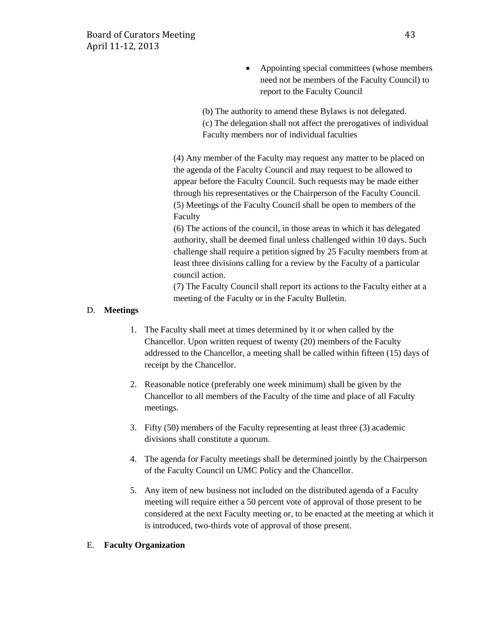• Appointing special committees (whose members need not be members of the Faculty Council) to report to the Faculty Council

(b) The authority to amend these Bylaws is not delegated. (c) The delegation shall not affect the prerogatives of individual Faculty members nor of individual faculties

(4) Any member of the Faculty may request any matter to be placed on the agenda of the Faculty Council and may request to be allowed to appear before the Faculty Council. Such requests may be made either through his representatives or the Chairperson of the Faculty Council. (5) Meetings of the Faculty Council shall be open to members of the Faculty

(6) The actions of the council, in those areas in which it has delegated authority, shall be deemed final unless challenged within 10 days. Such challenge shall require a petition signed by 25 Faculty members from at least three divisions calling for a review by the Faculty of a particular council action.

(7) The Faculty Council shall report its actions to the Faculty either at a meeting of the Faculty or in the Faculty Bulletin.

## D. **Meetings**

- 1. The Faculty shall meet at times determined by it or when called by the Chancellor. Upon written request of twenty (20) members of the Faculty addressed to the Chancellor, a meeting shall be called within fifteen (15) days of receipt by the Chancellor.
- 2. Reasonable notice (preferably one week minimum) shall be given by the Chancellor to all members of the Faculty of the time and place of all Faculty meetings.
- 3. Fifty (50) members of the Faculty representing at least three (3) academic divisions shall constitute a quorum.
- 4. The agenda for Faculty meetings shall be determined jointly by the Chairperson of the Faculty Council on UMC Policy and the Chancellor.
- 5. Any item of new business not included on the distributed agenda of a Faculty meeting will require either a 50 percent vote of approval of those present to be considered at the next Faculty meeting or, to be enacted at the meeting at which it is introduced, two-thirds vote of approval of those present.

#### E. **Faculty Organization**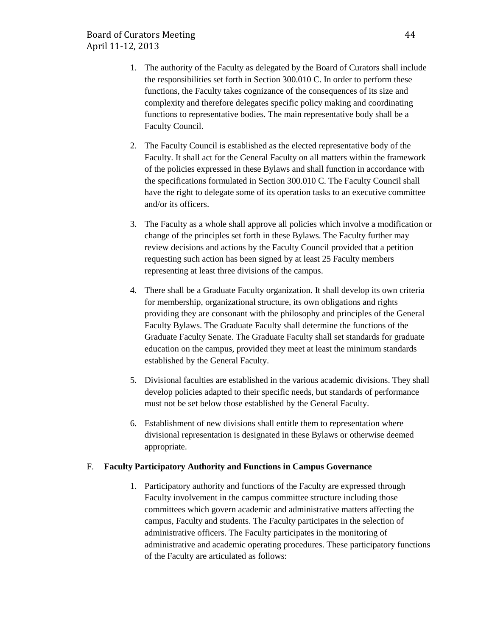- 1. The authority of the Faculty as delegated by the Board of Curators shall include the responsibilities set forth in Section 300.010 C. In order to perform these functions, the Faculty takes cognizance of the consequences of its size and complexity and therefore delegates specific policy making and coordinating functions to representative bodies. The main representative body shall be a Faculty Council.
- 2. The Faculty Council is established as the elected representative body of the Faculty. It shall act for the General Faculty on all matters within the framework of the policies expressed in these Bylaws and shall function in accordance with the specifications formulated in Section 300.010 C. The Faculty Council shall have the right to delegate some of its operation tasks to an executive committee and/or its officers.
- 3. The Faculty as a whole shall approve all policies which involve a modification or change of the principles set forth in these Bylaws. The Faculty further may review decisions and actions by the Faculty Council provided that a petition requesting such action has been signed by at least 25 Faculty members representing at least three divisions of the campus.
- 4. There shall be a Graduate Faculty organization. It shall develop its own criteria for membership, organizational structure, its own obligations and rights providing they are consonant with the philosophy and principles of the General Faculty Bylaws. The Graduate Faculty shall determine the functions of the Graduate Faculty Senate. The Graduate Faculty shall set standards for graduate education on the campus, provided they meet at least the minimum standards established by the General Faculty.
- 5. Divisional faculties are established in the various academic divisions. They shall develop policies adapted to their specific needs, but standards of performance must not be set below those established by the General Faculty.
- 6. Establishment of new divisions shall entitle them to representation where divisional representation is designated in these Bylaws or otherwise deemed appropriate.

#### F. **Faculty Participatory Authority and Functions in Campus Governance**

1. Participatory authority and functions of the Faculty are expressed through Faculty involvement in the campus committee structure including those committees which govern academic and administrative matters affecting the campus, Faculty and students. The Faculty participates in the selection of administrative officers. The Faculty participates in the monitoring of administrative and academic operating procedures. These participatory functions of the Faculty are articulated as follows: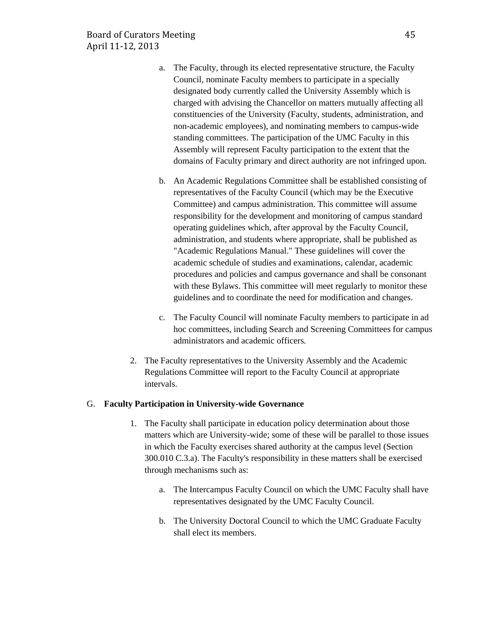- a. The Faculty, through its elected representative structure, the Faculty Council, nominate Faculty members to participate in a specially designated body currently called the University Assembly which is charged with advising the Chancellor on matters mutually affecting all constituencies of the University (Faculty, students, administration, and non-academic employees), and nominating members to campus-wide standing committees. The participation of the UMC Faculty in this Assembly will represent Faculty participation to the extent that the domains of Faculty primary and direct authority are not infringed upon.
- b. An Academic Regulations Committee shall be established consisting of representatives of the Faculty Council (which may be the Executive Committee) and campus administration. This committee will assume responsibility for the development and monitoring of campus standard operating guidelines which, after approval by the Faculty Council, administration, and students where appropriate, shall be published as "Academic Regulations Manual." These guidelines will cover the academic schedule of studies and examinations, calendar, academic procedures and policies and campus governance and shall be consonant with these Bylaws. This committee will meet regularly to monitor these guidelines and to coordinate the need for modification and changes.
- c. The Faculty Council will nominate Faculty members to participate in ad hoc committees, including Search and Screening Committees for campus administrators and academic officers.
- 2. The Faculty representatives to the University Assembly and the Academic Regulations Committee will report to the Faculty Council at appropriate intervals.

#### G. **Faculty Participation in University-wide Governance**

- 1. The Faculty shall participate in education policy determination about those matters which are University-wide; some of these will be parallel to those issues in which the Faculty exercises shared authority at the campus level (Section 300.010 C.3.a). The Faculty's responsibility in these matters shall be exercised through mechanisms such as:
	- a. The Intercampus Faculty Council on which the UMC Faculty shall have representatives designated by the UMC Faculty Council.
	- b. The University Doctoral Council to which the UMC Graduate Faculty shall elect its members.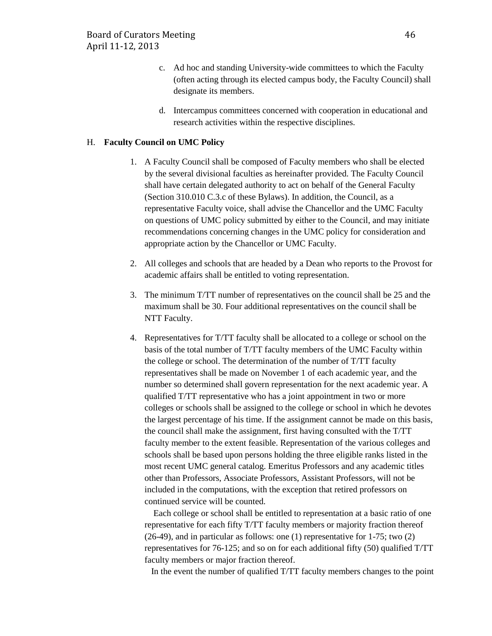- c. Ad hoc and standing University-wide committees to which the Faculty (often acting through its elected campus body, the Faculty Council) shall designate its members.
- d. Intercampus committees concerned with cooperation in educational and research activities within the respective disciplines.

#### H. **Faculty Council on UMC Policy**

- 1. A Faculty Council shall be composed of Faculty members who shall be elected by the several divisional faculties as hereinafter provided. The Faculty Council shall have certain delegated authority to act on behalf of the General Faculty (Section 310.010 C.3.c of these Bylaws). In addition, the Council, as a representative Faculty voice, shall advise the Chancellor and the UMC Faculty on questions of UMC policy submitted by either to the Council, and may initiate recommendations concerning changes in the UMC policy for consideration and appropriate action by the Chancellor or UMC Faculty.
- 2. All colleges and schools that are headed by a Dean who reports to the Provost for academic affairs shall be entitled to voting representation.
- 3. The minimum T/TT number of representatives on the council shall be 25 and the maximum shall be 30. Four additional representatives on the council shall be NTT Faculty.
- 4. Representatives for T/TT faculty shall be allocated to a college or school on the basis of the total number of T/TT faculty members of the UMC Faculty within the college or school. The determination of the number of T/TT faculty representatives shall be made on November 1 of each academic year, and the number so determined shall govern representation for the next academic year. A qualified T/TT representative who has a joint appointment in two or more colleges or schools shall be assigned to the college or school in which he devotes the largest percentage of his time. If the assignment cannot be made on this basis, the council shall make the assignment, first having consulted with the T/TT faculty member to the extent feasible. Representation of the various colleges and schools shall be based upon persons holding the three eligible ranks listed in the most recent UMC general catalog. Emeritus Professors and any academic titles other than Professors, Associate Professors, Assistant Professors, will not be included in the computations, with the exception that retired professors on continued service will be counted.

 Each college or school shall be entitled to representation at a basic ratio of one representative for each fifty T/TT faculty members or majority fraction thereof (26-49), and in particular as follows: one (1) representative for 1-75; two (2) representatives for 76-125; and so on for each additional fifty (50) qualified T/TT faculty members or major fraction thereof.

In the event the number of qualified T/TT faculty members changes to the point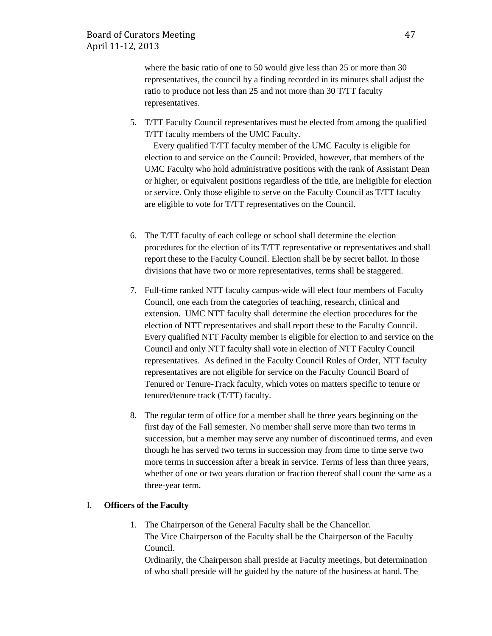where the basic ratio of one to 50 would give less than 25 or more than 30 representatives, the council by a finding recorded in its minutes shall adjust the ratio to produce not less than 25 and not more than 30 T/TT faculty representatives.

5. T/TT Faculty Council representatives must be elected from among the qualified T/TT faculty members of the UMC Faculty.

 Every qualified T/TT faculty member of the UMC Faculty is eligible for election to and service on the Council: Provided, however, that members of the UMC Faculty who hold administrative positions with the rank of Assistant Dean or higher, or equivalent positions regardless of the title, are ineligible for election or service. Only those eligible to serve on the Faculty Council as T/TT faculty are eligible to vote for T/TT representatives on the Council.

- 6. The T/TT faculty of each college or school shall determine the election procedures for the election of its T/TT representative or representatives and shall report these to the Faculty Council. Election shall be by secret ballot. In those divisions that have two or more representatives, terms shall be staggered.
- 7. Full-time ranked NTT faculty campus-wide will elect four members of Faculty Council, one each from the categories of teaching, research, clinical and extension. UMC NTT faculty shall determine the election procedures for the election of NTT representatives and shall report these to the Faculty Council. Every qualified NTT Faculty member is eligible for election to and service on the Council and only NTT faculty shall vote in election of NTT Faculty Council representatives. As defined in the Faculty Council Rules of Order, NTT faculty representatives are not eligible for service on the Faculty Council Board of Tenured or Tenure-Track faculty, which votes on matters specific to tenure or tenured/tenure track (T/TT) faculty.
- 8. The regular term of office for a member shall be three years beginning on the first day of the Fall semester. No member shall serve more than two terms in succession, but a member may serve any number of discontinued terms, and even though he has served two terms in succession may from time to time serve two more terms in succession after a break in service. Terms of less than three years, whether of one or two years duration or fraction thereof shall count the same as a three-year term.

## I. **Officers of the Faculty**

1. The Chairperson of the General Faculty shall be the Chancellor. The Vice Chairperson of the Faculty shall be the Chairperson of the Faculty Council.

Ordinarily, the Chairperson shall preside at Faculty meetings, but determination of who shall preside will be guided by the nature of the business at hand. The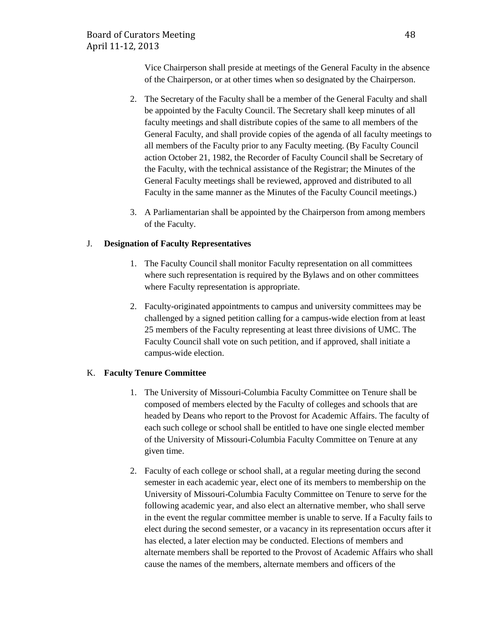Vice Chairperson shall preside at meetings of the General Faculty in the absence of the Chairperson, or at other times when so designated by the Chairperson.

- 2. The Secretary of the Faculty shall be a member of the General Faculty and shall be appointed by the Faculty Council. The Secretary shall keep minutes of all faculty meetings and shall distribute copies of the same to all members of the General Faculty, and shall provide copies of the agenda of all faculty meetings to all members of the Faculty prior to any Faculty meeting. (By Faculty Council action October 21, 1982, the Recorder of Faculty Council shall be Secretary of the Faculty, with the technical assistance of the Registrar; the Minutes of the General Faculty meetings shall be reviewed, approved and distributed to all Faculty in the same manner as the Minutes of the Faculty Council meetings.)
- 3. A Parliamentarian shall be appointed by the Chairperson from among members of the Faculty.

## J. **Designation of Faculty Representatives**

- 1. The Faculty Council shall monitor Faculty representation on all committees where such representation is required by the Bylaws and on other committees where Faculty representation is appropriate.
- 2. Faculty-originated appointments to campus and university committees may be challenged by a signed petition calling for a campus-wide election from at least 25 members of the Faculty representing at least three divisions of UMC. The Faculty Council shall vote on such petition, and if approved, shall initiate a campus-wide election.

## K. **Faculty Tenure Committee**

- 1. The University of Missouri-Columbia Faculty Committee on Tenure shall be composed of members elected by the Faculty of colleges and schools that are headed by Deans who report to the Provost for Academic Affairs. The faculty of each such college or school shall be entitled to have one single elected member of the University of Missouri-Columbia Faculty Committee on Tenure at any given time.
- 2. Faculty of each college or school shall, at a regular meeting during the second semester in each academic year, elect one of its members to membership on the University of Missouri-Columbia Faculty Committee on Tenure to serve for the following academic year, and also elect an alternative member, who shall serve in the event the regular committee member is unable to serve. If a Faculty fails to elect during the second semester, or a vacancy in its representation occurs after it has elected, a later election may be conducted. Elections of members and alternate members shall be reported to the Provost of Academic Affairs who shall cause the names of the members, alternate members and officers of the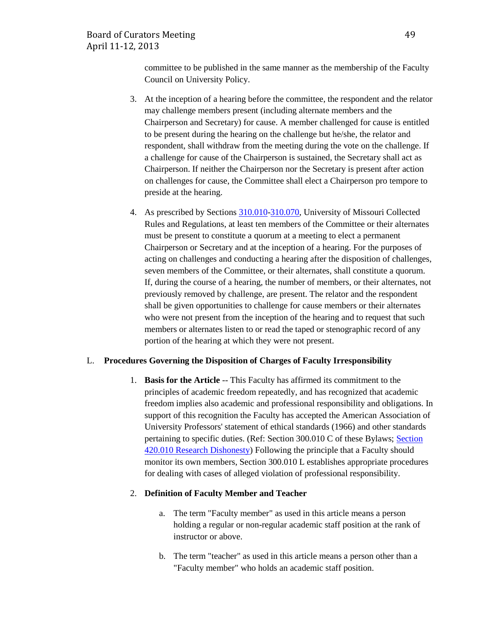committee to be published in the same manner as the membership of the Faculty Council on University Policy.

- 3. At the inception of a hearing before the committee, the respondent and the relator may challenge members present (including alternate members and the Chairperson and Secretary) for cause. A member challenged for cause is entitled to be present during the hearing on the challenge but he/she, the relator and respondent, shall withdraw from the meeting during the vote on the challenge. If a challenge for cause of the Chairperson is sustained, the Secretary shall act as Chairperson. If neither the Chairperson nor the Secretary is present after action on challenges for cause, the Committee shall elect a Chairperson pro tempore to preside at the hearing.
- 4. As prescribed by Sections [310.010](http://www.umsystem.edu/ums/gc/rules/bylaws/310/010)[-310.070,](http://www.umsystem.edu/ums/gc/rules/bylaws/310/070) University of Missouri Collected Rules and Regulations, at least ten members of the Committee or their alternates must be present to constitute a quorum at a meeting to elect a permanent Chairperson or Secretary and at the inception of a hearing. For the purposes of acting on challenges and conducting a hearing after the disposition of challenges, seven members of the Committee, or their alternates, shall constitute a quorum. If, during the course of a hearing, the number of members, or their alternates, not previously removed by challenge, are present. The relator and the respondent shall be given opportunities to challenge for cause members or their alternates who were not present from the inception of the hearing and to request that such members or alternates listen to or read the taped or stenographic record of any portion of the hearing at which they were not present.

#### L. **Procedures Governing the Disposition of Charges of Faculty Irresponsibility**

1. **Basis for the Article** -- This Faculty has affirmed its commitment to the principles of academic freedom repeatedly, and has recognized that academic freedom implies also academic and professional responsibility and obligations. In support of this recognition the Faculty has accepted the American Association of University Professors' statement of ethical standards (1966) and other standards pertaining to specific duties. (Ref: Section 300.010 C of these Bylaws; [Section](http://www.umsystem.edu/ums/rules/collected_rules/research/ch420/420.010_research_misconduct)  [420.010 Research Dishonesty\)](http://www.umsystem.edu/ums/rules/collected_rules/research/ch420/420.010_research_misconduct) Following the principle that a Faculty should monitor its own members, Section 300.010 L establishes appropriate procedures for dealing with cases of alleged violation of professional responsibility.

#### 2. **Definition of Faculty Member and Teacher**

- a. The term "Faculty member" as used in this article means a person holding a regular or non-regular academic staff position at the rank of instructor or above.
- b. The term "teacher" as used in this article means a person other than a "Faculty member" who holds an academic staff position.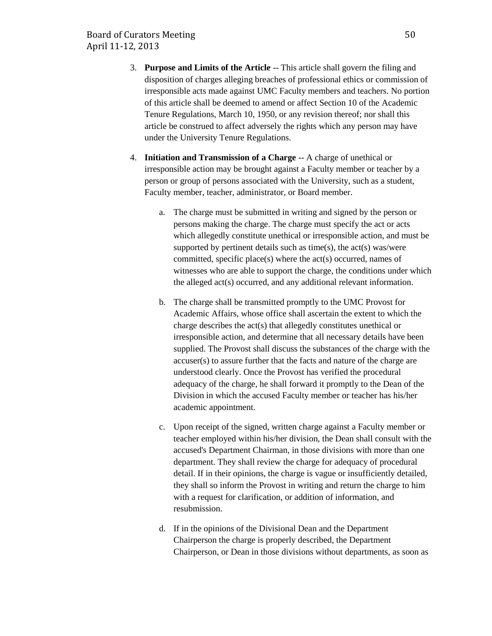- 3. **Purpose and Limits of the Article** -- This article shall govern the filing and disposition of charges alleging breaches of professional ethics or commission of irresponsible acts made against UMC Faculty members and teachers. No portion of this article shall be deemed to amend or affect Section 10 of the Academic Tenure Regulations, March 10, 1950, or any revision thereof; nor shall this article be construed to affect adversely the rights which any person may have under the University Tenure Regulations.
- 4. **Initiation and Transmission of a Charge** -- A charge of unethical or irresponsible action may be brought against a Faculty member or teacher by a person or group of persons associated with the University, such as a student, Faculty member, teacher, administrator, or Board member.
	- a. The charge must be submitted in writing and signed by the person or persons making the charge. The charge must specify the act or acts which allegedly constitute unethical or irresponsible action, and must be supported by pertinent details such as time(s), the  $act(s)$  was/were committed, specific place(s) where the act(s) occurred, names of witnesses who are able to support the charge, the conditions under which the alleged act(s) occurred, and any additional relevant information.
	- b. The charge shall be transmitted promptly to the UMC Provost for Academic Affairs, whose office shall ascertain the extent to which the charge describes the act(s) that allegedly constitutes unethical or irresponsible action, and determine that all necessary details have been supplied. The Provost shall discuss the substances of the charge with the accuser(s) to assure further that the facts and nature of the charge are understood clearly. Once the Provost has verified the procedural adequacy of the charge, he shall forward it promptly to the Dean of the Division in which the accused Faculty member or teacher has his/her academic appointment.
	- c. Upon receipt of the signed, written charge against a Faculty member or teacher employed within his/her division, the Dean shall consult with the accused's Department Chairman, in those divisions with more than one department. They shall review the charge for adequacy of procedural detail. If in their opinions, the charge is vague or insufficiently detailed, they shall so inform the Provost in writing and return the charge to him with a request for clarification, or addition of information, and resubmission.
	- d. If in the opinions of the Divisional Dean and the Department Chairperson the charge is properly described, the Department Chairperson, or Dean in those divisions without departments, as soon as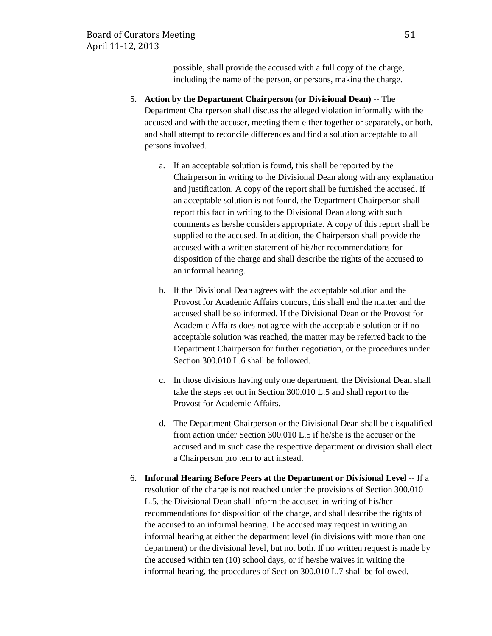possible, shall provide the accused with a full copy of the charge, including the name of the person, or persons, making the charge.

- 5. **Action by the Department Chairperson (or Divisional Dean)** -- The Department Chairperson shall discuss the alleged violation informally with the accused and with the accuser, meeting them either together or separately, or both, and shall attempt to reconcile differences and find a solution acceptable to all persons involved.
	- a. If an acceptable solution is found, this shall be reported by the Chairperson in writing to the Divisional Dean along with any explanation and justification. A copy of the report shall be furnished the accused. If an acceptable solution is not found, the Department Chairperson shall report this fact in writing to the Divisional Dean along with such comments as he/she considers appropriate. A copy of this report shall be supplied to the accused. In addition, the Chairperson shall provide the accused with a written statement of his/her recommendations for disposition of the charge and shall describe the rights of the accused to an informal hearing.
	- b. If the Divisional Dean agrees with the acceptable solution and the Provost for Academic Affairs concurs, this shall end the matter and the accused shall be so informed. If the Divisional Dean or the Provost for Academic Affairs does not agree with the acceptable solution or if no acceptable solution was reached, the matter may be referred back to the Department Chairperson for further negotiation, or the procedures under Section 300.010 L.6 shall be followed.
	- c. In those divisions having only one department, the Divisional Dean shall take the steps set out in Section 300.010 L.5 and shall report to the Provost for Academic Affairs.
	- d. The Department Chairperson or the Divisional Dean shall be disqualified from action under Section 300.010 L.5 if he/she is the accuser or the accused and in such case the respective department or division shall elect a Chairperson pro tem to act instead.
- 6. **Informal Hearing Before Peers at the Department or Divisional Level** -- If a resolution of the charge is not reached under the provisions of Section 300.010 L.5, the Divisional Dean shall inform the accused in writing of his/her recommendations for disposition of the charge, and shall describe the rights of the accused to an informal hearing. The accused may request in writing an informal hearing at either the department level (in divisions with more than one department) or the divisional level, but not both. If no written request is made by the accused within ten (10) school days, or if he/she waives in writing the informal hearing, the procedures of Section 300.010 L.7 shall be followed.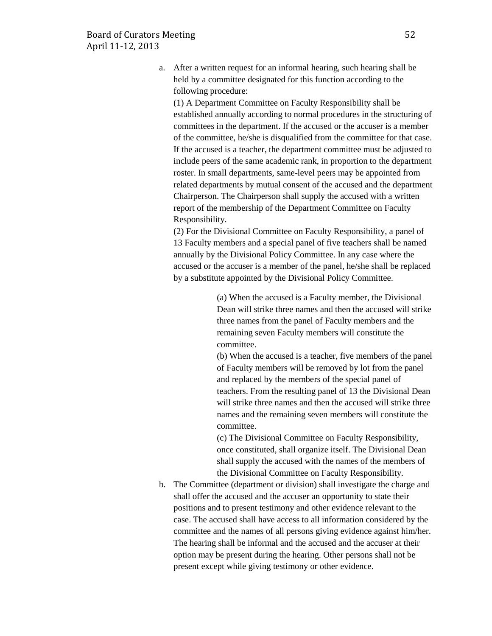a. After a written request for an informal hearing, such hearing shall be held by a committee designated for this function according to the following procedure:

(1) A Department Committee on Faculty Responsibility shall be established annually according to normal procedures in the structuring of committees in the department. If the accused or the accuser is a member of the committee, he/she is disqualified from the committee for that case. If the accused is a teacher, the department committee must be adjusted to include peers of the same academic rank, in proportion to the department roster. In small departments, same-level peers may be appointed from related departments by mutual consent of the accused and the department Chairperson. The Chairperson shall supply the accused with a written report of the membership of the Department Committee on Faculty Responsibility.

(2) For the Divisional Committee on Faculty Responsibility, a panel of 13 Faculty members and a special panel of five teachers shall be named annually by the Divisional Policy Committee. In any case where the accused or the accuser is a member of the panel, he/she shall be replaced by a substitute appointed by the Divisional Policy Committee.

> (a) When the accused is a Faculty member, the Divisional Dean will strike three names and then the accused will strike three names from the panel of Faculty members and the remaining seven Faculty members will constitute the committee.

> (b) When the accused is a teacher, five members of the panel of Faculty members will be removed by lot from the panel and replaced by the members of the special panel of teachers. From the resulting panel of 13 the Divisional Dean will strike three names and then the accused will strike three names and the remaining seven members will constitute the committee.

(c) The Divisional Committee on Faculty Responsibility, once constituted, shall organize itself. The Divisional Dean shall supply the accused with the names of the members of the Divisional Committee on Faculty Responsibility.

b. The Committee (department or division) shall investigate the charge and shall offer the accused and the accuser an opportunity to state their positions and to present testimony and other evidence relevant to the case. The accused shall have access to all information considered by the committee and the names of all persons giving evidence against him/her. The hearing shall be informal and the accused and the accuser at their option may be present during the hearing. Other persons shall not be present except while giving testimony or other evidence.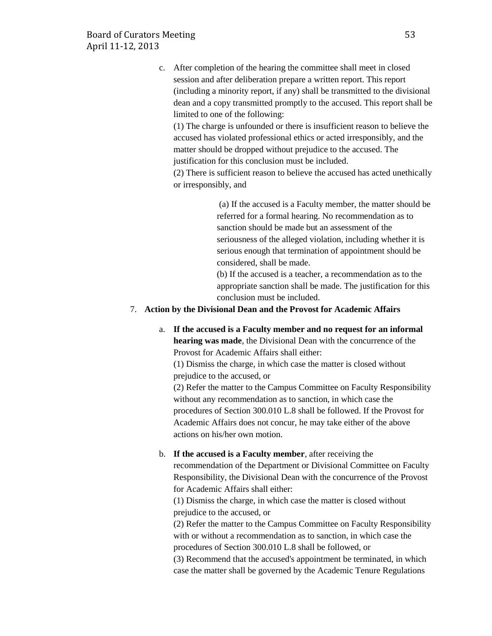c. After completion of the hearing the committee shall meet in closed session and after deliberation prepare a written report. This report (including a minority report, if any) shall be transmitted to the divisional dean and a copy transmitted promptly to the accused. This report shall be limited to one of the following:

(1) The charge is unfounded or there is insufficient reason to believe the accused has violated professional ethics or acted irresponsibly, and the matter should be dropped without prejudice to the accused. The justification for this conclusion must be included.

(2) There is sufficient reason to believe the accused has acted unethically or irresponsibly, and

> (a) If the accused is a Faculty member, the matter should be referred for a formal hearing. No recommendation as to sanction should be made but an assessment of the seriousness of the alleged violation, including whether it is serious enough that termination of appointment should be considered, shall be made.

> (b) If the accused is a teacher, a recommendation as to the appropriate sanction shall be made. The justification for this conclusion must be included.

### 7. **Action by the Divisional Dean and the Provost for Academic Affairs**

a. **If the accused is a Faculty member and no request for an informal hearing was made**, the Divisional Dean with the concurrence of the Provost for Academic Affairs shall either:

(1) Dismiss the charge, in which case the matter is closed without prejudice to the accused, or

(2) Refer the matter to the Campus Committee on Faculty Responsibility without any recommendation as to sanction, in which case the procedures of Section 300.010 L.8 shall be followed. If the Provost for Academic Affairs does not concur, he may take either of the above actions on his/her own motion.

# b. **If the accused is a Faculty member**, after receiving the

recommendation of the Department or Divisional Committee on Faculty Responsibility, the Divisional Dean with the concurrence of the Provost for Academic Affairs shall either:

(1) Dismiss the charge, in which case the matter is closed without prejudice to the accused, or

(2) Refer the matter to the Campus Committee on Faculty Responsibility with or without a recommendation as to sanction, in which case the procedures of Section 300.010 L.8 shall be followed, or

(3) Recommend that the accused's appointment be terminated, in which case the matter shall be governed by the Academic Tenure Regulations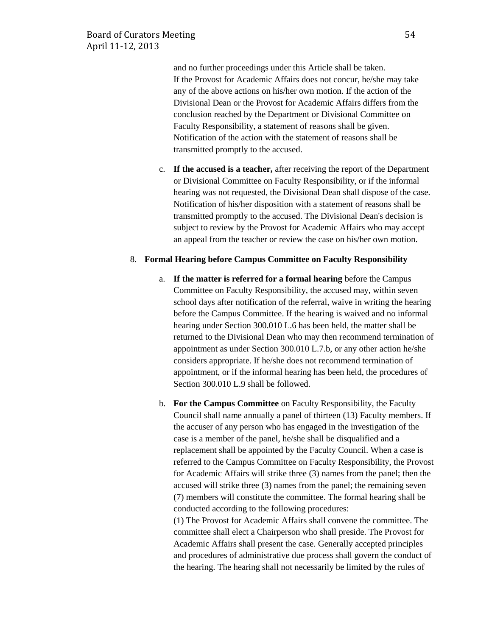and no further proceedings under this Article shall be taken. If the Provost for Academic Affairs does not concur, he/she may take any of the above actions on his/her own motion. If the action of the Divisional Dean or the Provost for Academic Affairs differs from the conclusion reached by the Department or Divisional Committee on Faculty Responsibility, a statement of reasons shall be given. Notification of the action with the statement of reasons shall be transmitted promptly to the accused.

c. **If the accused is a teacher,** after receiving the report of the Department or Divisional Committee on Faculty Responsibility, or if the informal hearing was not requested, the Divisional Dean shall dispose of the case. Notification of his/her disposition with a statement of reasons shall be transmitted promptly to the accused. The Divisional Dean's decision is subject to review by the Provost for Academic Affairs who may accept an appeal from the teacher or review the case on his/her own motion.

#### 8. **Formal Hearing before Campus Committee on Faculty Responsibility**

- a. **If the matter is referred for a formal hearing** before the Campus Committee on Faculty Responsibility, the accused may, within seven school days after notification of the referral, waive in writing the hearing before the Campus Committee. If the hearing is waived and no informal hearing under Section 300.010 L.6 has been held, the matter shall be returned to the Divisional Dean who may then recommend termination of appointment as under Section 300.010 L.7.b, or any other action he/she considers appropriate. If he/she does not recommend termination of appointment, or if the informal hearing has been held, the procedures of Section 300.010 L.9 shall be followed.
- b. **For the Campus Committee** on Faculty Responsibility, the Faculty Council shall name annually a panel of thirteen (13) Faculty members. If the accuser of any person who has engaged in the investigation of the case is a member of the panel, he/she shall be disqualified and a replacement shall be appointed by the Faculty Council. When a case is referred to the Campus Committee on Faculty Responsibility, the Provost for Academic Affairs will strike three (3) names from the panel; then the accused will strike three (3) names from the panel; the remaining seven (7) members will constitute the committee. The formal hearing shall be conducted according to the following procedures:

(1) The Provost for Academic Affairs shall convene the committee. The committee shall elect a Chairperson who shall preside. The Provost for Academic Affairs shall present the case. Generally accepted principles and procedures of administrative due process shall govern the conduct of the hearing. The hearing shall not necessarily be limited by the rules of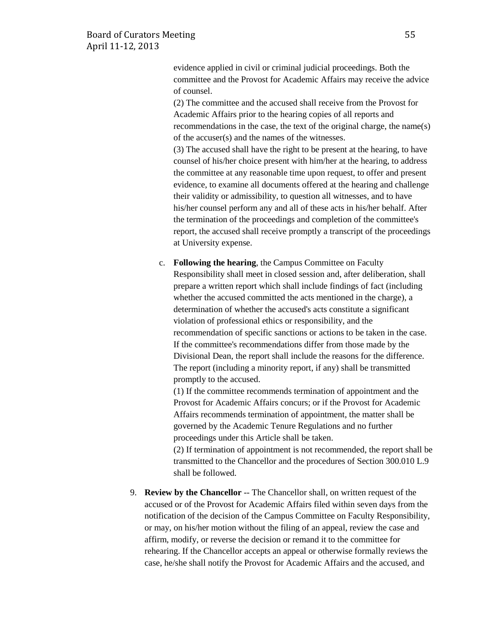evidence applied in civil or criminal judicial proceedings. Both the committee and the Provost for Academic Affairs may receive the advice of counsel.

(2) The committee and the accused shall receive from the Provost for Academic Affairs prior to the hearing copies of all reports and recommendations in the case, the text of the original charge, the name(s) of the accuser(s) and the names of the witnesses.

(3) The accused shall have the right to be present at the hearing, to have counsel of his/her choice present with him/her at the hearing, to address the committee at any reasonable time upon request, to offer and present evidence, to examine all documents offered at the hearing and challenge their validity or admissibility, to question all witnesses, and to have his/her counsel perform any and all of these acts in his/her behalf. After the termination of the proceedings and completion of the committee's report, the accused shall receive promptly a transcript of the proceedings at University expense.

c. **Following the hearing**, the Campus Committee on Faculty Responsibility shall meet in closed session and, after deliberation, shall prepare a written report which shall include findings of fact (including whether the accused committed the acts mentioned in the charge), a determination of whether the accused's acts constitute a significant violation of professional ethics or responsibility, and the recommendation of specific sanctions or actions to be taken in the case. If the committee's recommendations differ from those made by the Divisional Dean, the report shall include the reasons for the difference. The report (including a minority report, if any) shall be transmitted promptly to the accused.

(1) If the committee recommends termination of appointment and the Provost for Academic Affairs concurs; or if the Provost for Academic Affairs recommends termination of appointment, the matter shall be governed by the Academic Tenure Regulations and no further proceedings under this Article shall be taken.

(2) If termination of appointment is not recommended, the report shall be transmitted to the Chancellor and the procedures of Section 300.010 L.9 shall be followed.

9. **Review by the Chancellor** -- The Chancellor shall, on written request of the accused or of the Provost for Academic Affairs filed within seven days from the notification of the decision of the Campus Committee on Faculty Responsibility, or may, on his/her motion without the filing of an appeal, review the case and affirm, modify, or reverse the decision or remand it to the committee for rehearing. If the Chancellor accepts an appeal or otherwise formally reviews the case, he/she shall notify the Provost for Academic Affairs and the accused, and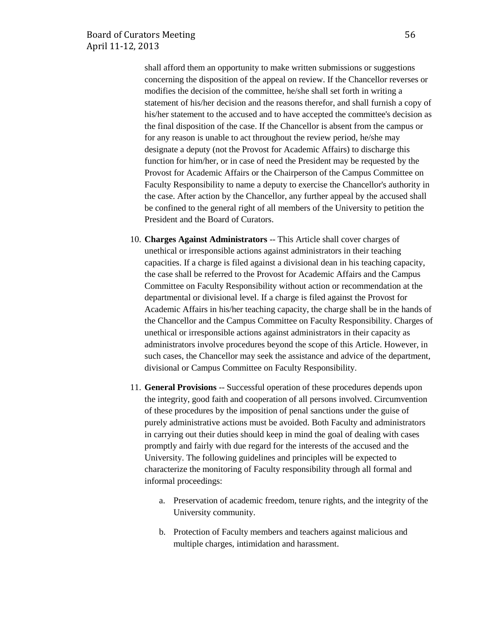shall afford them an opportunity to make written submissions or suggestions concerning the disposition of the appeal on review. If the Chancellor reverses or modifies the decision of the committee, he/she shall set forth in writing a statement of his/her decision and the reasons therefor, and shall furnish a copy of his/her statement to the accused and to have accepted the committee's decision as the final disposition of the case. If the Chancellor is absent from the campus or for any reason is unable to act throughout the review period, he/she may designate a deputy (not the Provost for Academic Affairs) to discharge this function for him/her, or in case of need the President may be requested by the Provost for Academic Affairs or the Chairperson of the Campus Committee on Faculty Responsibility to name a deputy to exercise the Chancellor's authority in the case. After action by the Chancellor, any further appeal by the accused shall be confined to the general right of all members of the University to petition the President and the Board of Curators.

- 10. **Charges Against Administrators** -- This Article shall cover charges of unethical or irresponsible actions against administrators in their teaching capacities. If a charge is filed against a divisional dean in his teaching capacity, the case shall be referred to the Provost for Academic Affairs and the Campus Committee on Faculty Responsibility without action or recommendation at the departmental or divisional level. If a charge is filed against the Provost for Academic Affairs in his/her teaching capacity, the charge shall be in the hands of the Chancellor and the Campus Committee on Faculty Responsibility. Charges of unethical or irresponsible actions against administrators in their capacity as administrators involve procedures beyond the scope of this Article. However, in such cases, the Chancellor may seek the assistance and advice of the department, divisional or Campus Committee on Faculty Responsibility.
- 11. **General Provisions** -- Successful operation of these procedures depends upon the integrity, good faith and cooperation of all persons involved. Circumvention of these procedures by the imposition of penal sanctions under the guise of purely administrative actions must be avoided. Both Faculty and administrators in carrying out their duties should keep in mind the goal of dealing with cases promptly and fairly with due regard for the interests of the accused and the University. The following guidelines and principles will be expected to characterize the monitoring of Faculty responsibility through all formal and informal proceedings:
	- a. Preservation of academic freedom, tenure rights, and the integrity of the University community.
	- b. Protection of Faculty members and teachers against malicious and multiple charges, intimidation and harassment.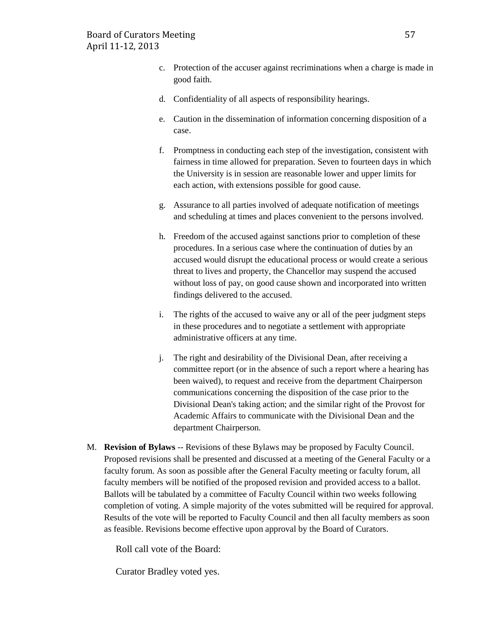- c. Protection of the accuser against recriminations when a charge is made in good faith.
- d. Confidentiality of all aspects of responsibility hearings.
- e. Caution in the dissemination of information concerning disposition of a case.
- f. Promptness in conducting each step of the investigation, consistent with fairness in time allowed for preparation. Seven to fourteen days in which the University is in session are reasonable lower and upper limits for each action, with extensions possible for good cause.
- g. Assurance to all parties involved of adequate notification of meetings and scheduling at times and places convenient to the persons involved.
- h. Freedom of the accused against sanctions prior to completion of these procedures. In a serious case where the continuation of duties by an accused would disrupt the educational process or would create a serious threat to lives and property, the Chancellor may suspend the accused without loss of pay, on good cause shown and incorporated into written findings delivered to the accused.
- i. The rights of the accused to waive any or all of the peer judgment steps in these procedures and to negotiate a settlement with appropriate administrative officers at any time.
- j. The right and desirability of the Divisional Dean, after receiving a committee report (or in the absence of such a report where a hearing has been waived), to request and receive from the department Chairperson communications concerning the disposition of the case prior to the Divisional Dean's taking action; and the similar right of the Provost for Academic Affairs to communicate with the Divisional Dean and the department Chairperson.
- M. **Revision of Bylaws** -- Revisions of these Bylaws may be proposed by Faculty Council. Proposed revisions shall be presented and discussed at a meeting of the General Faculty or a faculty forum. As soon as possible after the General Faculty meeting or faculty forum, all faculty members will be notified of the proposed revision and provided access to a ballot. Ballots will be tabulated by a committee of Faculty Council within two weeks following completion of voting. A simple majority of the votes submitted will be required for approval. Results of the vote will be reported to Faculty Council and then all faculty members as soon as feasible. Revisions become effective upon approval by the Board of Curators.

Roll call vote of the Board:

Curator Bradley voted yes.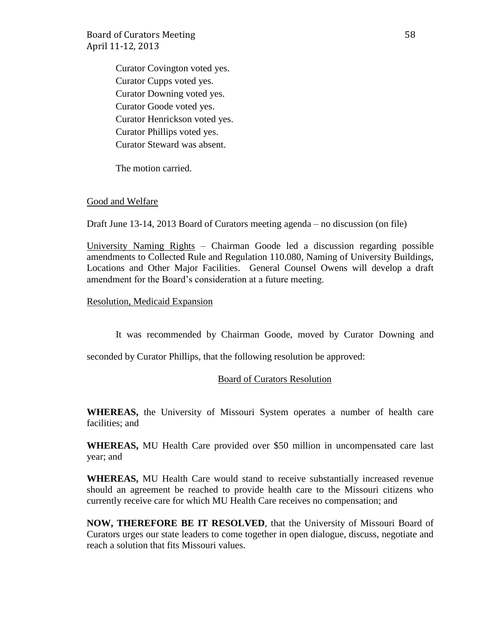Board of Curators Meeting 58 April 11-12, 2013

Curator Covington voted yes. Curator Cupps voted yes. Curator Downing voted yes. Curator Goode voted yes. Curator Henrickson voted yes. Curator Phillips voted yes. Curator Steward was absent.

The motion carried.

#### Good and Welfare

Draft June 13-14, 2013 Board of Curators meeting agenda – no discussion (on file)

University Naming Rights – Chairman Goode led a discussion regarding possible amendments to Collected Rule and Regulation 110.080, Naming of University Buildings, Locations and Other Major Facilities. General Counsel Owens will develop a draft amendment for the Board's consideration at a future meeting.

Resolution, Medicaid Expansion

It was recommended by Chairman Goode, moved by Curator Downing and

seconded by Curator Phillips, that the following resolution be approved:

#### Board of Curators Resolution

**WHEREAS,** the University of Missouri System operates a number of health care facilities; and

**WHEREAS,** MU Health Care provided over \$50 million in uncompensated care last year; and

**WHEREAS,** MU Health Care would stand to receive substantially increased revenue should an agreement be reached to provide health care to the Missouri citizens who currently receive care for which MU Health Care receives no compensation; and

**NOW, THEREFORE BE IT RESOLVED**, that the University of Missouri Board of Curators urges our state leaders to come together in open dialogue, discuss, negotiate and reach a solution that fits Missouri values.